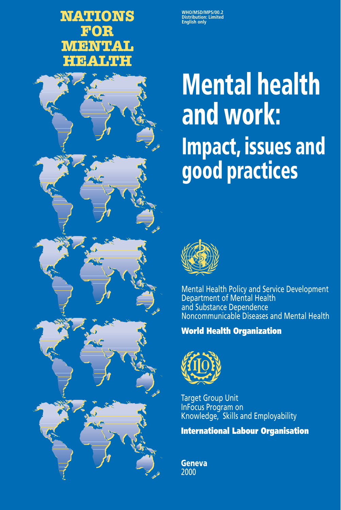# **NATIONS FOR MENTAL HEALTH**



# **Mental health and work: Impact, issues and good practices**



Mental Health Policy and Service Development Department of Mental Health and Substance Dependence Noncommunicable Diseases and Mental Health

# **World Health Organization**



**Target Group Unit** InFocus Program on Knowledge, Skills and Employability

**International Labour Organisation**

**Geneva** 2000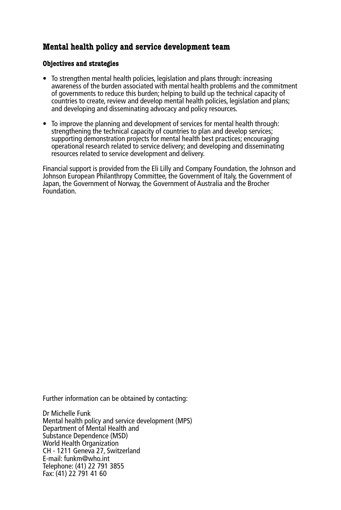# **Mental health policy and service development team**

#### **Objectives and strategies**

- To strengthen mental health policies, legislation and plans through: increasing awareness of the burden associated with mental health problems and the commitment of governments to reduce this burden; helping to build up the technical capacity of countries to create, review and develop mental health policies, legislation and plans; and developing and disseminating advocacy and policy resources.
- To improve the planning and development of services for mental health through: strengthening the technical capacity of countries to plan and develop services; supporting demonstration projects for mental health best practices; encouraging operational research related to service delivery; and developing and disseminating resources related to service development and delivery.

Financial support is provided from the Eli Lilly and Company Foundation, the Johnson and Johnson European Philanthropy Committee, the Government of Italy, the Government of Japan, the Government of Norway, the Government of Australia and the Brocher **Foundation** 

Further information can be obtained by contacting:

Dr Michelle Funk Mental health policy and service development (MPS) Department of Mental Health and Substance Dependence (MSD) World Health Organization CH - 1211 Geneva 27, Switzerland E-mail: funkm@who.int Telephone: (41) 22 791 3855 Fax: (41) 22 791 41 60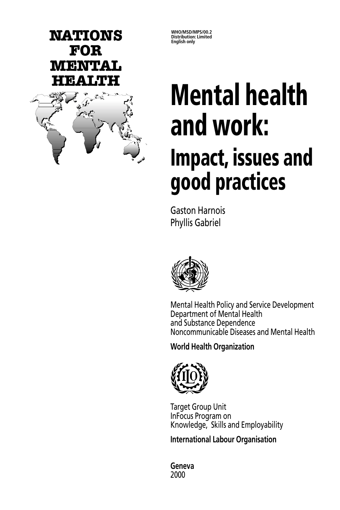

**WHO/MSD/MPS/00.2**

# **HEALTH Mental health and work: Impact, issues and good practices**

Gaston Harnois Phyllis Gabriel



Mental Health Policy and Service Development Department of Mental Health and Substance Dependence Noncommunicable Diseases and Mental Health

**World Health Organization**



Target Group Unit InFocus Program on Knowledge, Skills and Employability

**International Labour Organisation**

**Geneva** 2000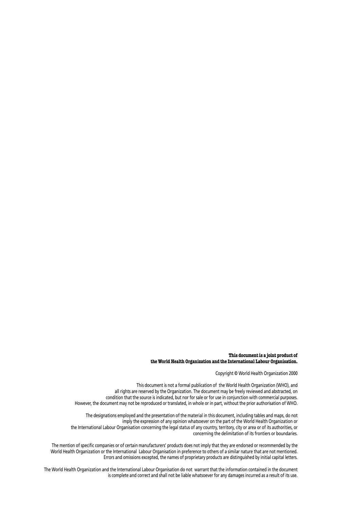#### **This document is a joint product of the World Health Organization and the International Labour Organisation.**

Copyright © World Health Organization 2000

This document is not a formal publication of the World Health Organization (WHO), and all rights are reserved by the Organization. The document may be freely reviewed and abstracted, on condition that the source is indicated, but nor for sale or for use in conjunction with commercial purposes. However, the document may not be reproduced or translated, in whole or in part, without the prior authorisation of WHO.

The designations employed and the presentation of the material in this document, including tables and maps, do not imply the expression of any opinion whatsoever on the part of the World Health Organization or the International Labour Organisation concerning the legal status of any country, territory, city or area or of its authorities, or concerning the delimitation of its frontiers or boundaries.

The mention of specific companies or of certain manufacturers' products does not imply that they are endorsed or recommended by the World Health Organization or the International Labour Organisation in preference to others of a similar nature that are not mentioned. Errors and omissions excepted, the names of proprietary products are distinguished by initial capital letters.

The World Health Organization and the International Labour Organisation do not warrant that the information contained in the document is complete and correct and shall not be liable whatsoever for any damages incurred as a result of its use.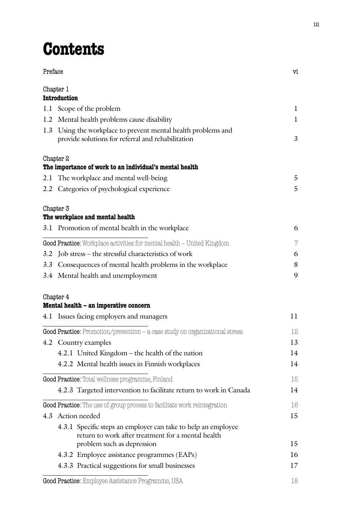# **Contents**

| Preface |                                                                                                                     | vi       |
|---------|---------------------------------------------------------------------------------------------------------------------|----------|
|         | Chapter 1<br><b>Introduction</b>                                                                                    |          |
|         | 1.1 Scope of the problem                                                                                            | 1        |
|         | 1.2 Mental health problems cause disability                                                                         | 1        |
|         | 1.3 Using the workplace to prevent mental health problems and                                                       |          |
|         | provide solutions for referral and rehabilitation                                                                   | 3        |
|         | Chapter 2                                                                                                           |          |
|         | The importance of work to an individual's mental health                                                             | 5        |
|         | 2.1 The workplace and mental well-being<br>2.2 Categories of psychological experience                               | 5        |
|         |                                                                                                                     |          |
|         | Chapter 3                                                                                                           |          |
|         | The workplace and mental health                                                                                     |          |
|         | 3.1 Promotion of mental health in the workplace                                                                     | 6        |
|         | Good Practice: Workplace activities for mental health – United Kingdom                                              | $\gamma$ |
|         | 3.2 Job stress - the stressful characteristics of work                                                              | 6        |
|         | 3.3 Consequences of mental health problems in the workplace                                                         | 8        |
|         | 3.4 Mental health and unemployment                                                                                  | 9        |
|         | Chapter 4                                                                                                           |          |
|         | Mental health – an imperative concern                                                                               |          |
|         | 4.1 Issues facing employers and managers                                                                            | $_{11}$  |
|         | Good Practice: Promotion/prevention – a case study on organizational stress                                         | 12       |
|         | 4.2 Country examples                                                                                                | 13       |
|         | 4.2.1 United Kingdom - the health of the nation                                                                     | 14       |
|         | 4.2.2 Mental health issues in Finnish workplaces                                                                    | 14       |
|         | Good Practice: Total wellness programme, Finland                                                                    | 15       |
|         | 4.2.3 Targeted intervention to facilitate return to work in Canada                                                  | 14       |
|         | Good Practice: The use of group process to facilitate work reintegration                                            | 16       |
|         | 4.3 Action needed                                                                                                   | 15       |
|         | 4.3.1 Specific steps an employer can take to help an employee<br>return to work after treatment for a mental health |          |
|         | problem such as depression                                                                                          | 15       |
|         | 4.3.2 Employee assistance programmes (EAPs)                                                                         | 16       |
|         | 4.3.3 Practical suggestions for small businesses                                                                    | 17       |
|         |                                                                                                                     |          |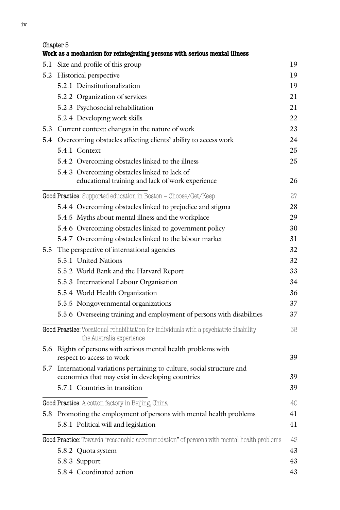| Chapter 5<br>Work as a mechanism for reintegrating persons with serious mental illness                                       |    |
|------------------------------------------------------------------------------------------------------------------------------|----|
| 5.1 Size and profile of this group                                                                                           | 19 |
| 5.2 Historical perspective                                                                                                   | 19 |
| 5.2.1 Deinstitutionalization                                                                                                 | 19 |
| 5.2.2 Organization of services                                                                                               | 21 |
| 5.2.3 Psychosocial rehabilitation                                                                                            | 21 |
| 5.2.4 Developing work skills                                                                                                 | 22 |
| 5.3 Current context: changes in the nature of work                                                                           | 23 |
| 5.4 Overcoming obstacles affecting clients' ability to access work                                                           | 24 |
| 5.4.1 Context                                                                                                                | 25 |
| 5.4.2 Overcoming obstacles linked to the illness                                                                             | 25 |
| 5.4.3 Overcoming obstacles linked to lack of                                                                                 |    |
| educational training and lack of work experience                                                                             | 26 |
| Good Practice: Supported education in Boston - Choose/Get/Keep                                                               | 27 |
| 5.4.4 Overcoming obstacles linked to prejudice and stigma                                                                    | 28 |
| 5.4.5 Myths about mental illness and the workplace                                                                           | 29 |
| 5.4.6 Overcoming obstacles linked to government policy                                                                       | 30 |
| 5.4.7 Overcoming obstacles linked to the labour market                                                                       | 31 |
| 5.5 The perspective of international agencies                                                                                | 32 |
| 5.5.1 United Nations                                                                                                         | 32 |
| 5.5.2 World Bank and the Harvard Report                                                                                      | 33 |
| 5.5.3 International Labour Organisation                                                                                      | 34 |
| 5.5.4 World Health Organization                                                                                              | 36 |
| 5.5.5 Nongovernmental organizations                                                                                          | 37 |
| 5.5.6 Overseeing training and employment of persons with disabilities                                                        | 37 |
| Good Practice: Vocational rehabilitation for individuals with a psychiatric disability -<br>the Australia experience         | 38 |
| 5.6 Rights of persons with serious mental health problems with<br>respect to access to work                                  | 39 |
| 5.7 International variations pertaining to culture, social structure and<br>economics that may exist in developing countries | 39 |
| 5.7.1 Countries in transition                                                                                                | 39 |
| Good Practice: A cotton factory in Beijing, China                                                                            | 40 |
| 5.8 Promoting the employment of persons with mental health problems                                                          | 41 |
| 5.8.1 Political will and legislation                                                                                         | 41 |
| Good Practice: Towards "reasonable accommodation" of persons with mental health problems                                     | 42 |
| 5.8.2 Quota system                                                                                                           | 43 |
| 5.8.3 Support                                                                                                                | 43 |

5.8.4 Coordinated action 43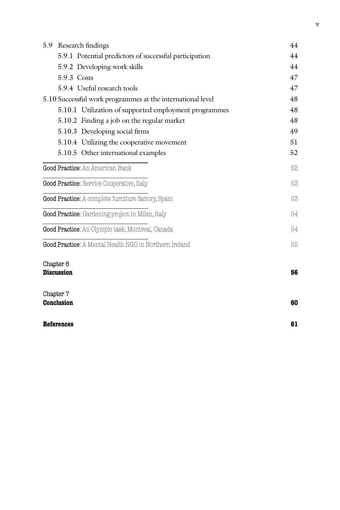| 5.9 Research findings                                      | 44 |
|------------------------------------------------------------|----|
| 5.9.1 Potential predictors of successful participation     | 44 |
| 5.9.2 Developing work skills                               | 44 |
| 5.9.3 Costs                                                | 47 |
| 5.9.4 Useful research tools                                | 47 |
| 5.10 Successful work programmes at the international level | 48 |
| 5.10.1 Utilization of supported employment programmes      | 48 |
| 5.10.2 Finding a job on the regular market                 | 48 |
| 5.10.3 Developing social firms                             | 49 |
| 5.10.4 Utilizing the cooperative movement                  | 51 |
| 5.10.5 Other international examples                        | 52 |
| Good Practice: An American Bank                            | 52 |
| Good Practice: Service Cooperative, Italy                  | 53 |
| Good Practice: A complete furniture factory, Spain         | 53 |
| Good Practice: Gardening project in Milan, Italy           | 54 |
| Good Practice: An Olympic task, Montreal, Canada           | 54 |
| Good Practice: A Mental Health NGO in Northern Ireland     | 55 |
| Chapter 6<br><b>Discussion</b>                             | 56 |
| Chapter 7<br><b>Conclusion</b>                             | 60 |
| References                                                 | 61 |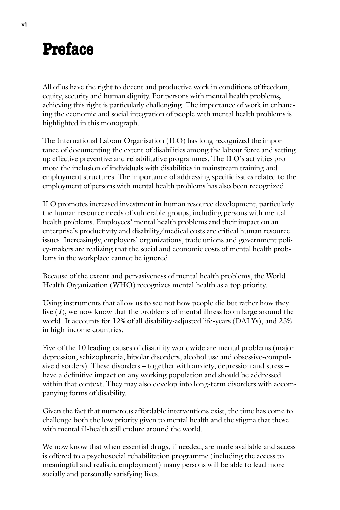# **Preface**

All of us have the right to decent and productive work in conditions of freedom, equity, security and human dignity. For persons with mental health problems**,** achieving this right is particularly challenging. The importance of work in enhancing the economic and social integration of people with mental health problems is highlighted in this monograph.

The International Labour Organisation (ILO) has long recognized the importance of documenting the extent of disabilities among the labour force and setting up effective preventive and rehabilitative programmes. The ILO's activities promote the inclusion of individuals with disabilities in mainstream training and employment structures. The importance of addressing specific issues related to the employment of persons with mental health problems has also been recognized.

ILO promotes increased investment in human resource development, particularly the human resource needs of vulnerable groups, including persons with mental health problems. Employees' mental health problems and their impact on an enterprise's productivity and disability/medical costs are critical human resource issues. Increasingly, employers' organizations, trade unions and government policy-makers are realizing that the social and economic costs of mental health problems in the workplace cannot be ignored.

Because of the extent and pervasiveness of mental health problems, the World Health Organization (WHO) recognizes mental health as a top priority.

Using instruments that allow us to see not how people die but rather how they live (*1*), we now know that the problems of mental illness loom large around the world. It accounts for 12% of all disability-adjusted life-years (DALYs), and 23% in high-income countries.

Five of the 10 leading causes of disability worldwide are mental problems (major depression, schizophrenia, bipolar disorders, alcohol use and obsessive-compulsive disorders). These disorders – together with anxiety, depression and stress – have a definitive impact on any working population and should be addressed within that context. They may also develop into long-term disorders with accompanying forms of disability.

Given the fact that numerous affordable interventions exist, the time has come to challenge both the low priority given to mental health and the stigma that those with mental ill-health still endure around the world.

We now know that when essential drugs, if needed, are made available and access is offered to a psychosocial rehabilitation programme (including the access to meaningful and realistic employment) many persons will be able to lead more socially and personally satisfying lives.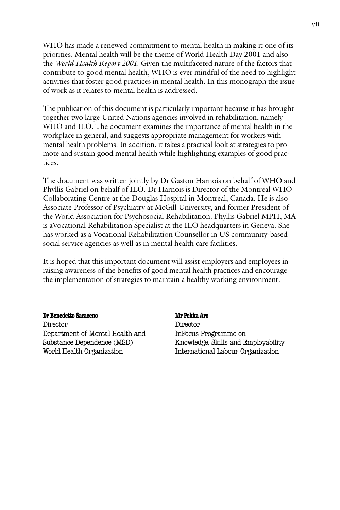WHO has made a renewed commitment to mental health in making it one of its priorities. Mental health will be the theme of World Health Day 2001 and also the *World Health Report 2001*. Given the multifaceted nature of the factors that contribute to good mental health, WHO is ever mindful of the need to highlight activities that foster good practices in mental health. In this monograph the issue of work as it relates to mental health is addressed.

The publication of this document is particularly important because it has brought together two large United Nations agencies involved in rehabilitation, namely WHO and ILO. The document examines the importance of mental health in the workplace in general, and suggests appropriate management for workers with mental health problems. In addition, it takes a practical look at strategies to promote and sustain good mental health while highlighting examples of good practices.

The document was written jointly by Dr Gaston Harnois on behalf of WHO and Phyllis Gabriel on behalf of ILO. Dr Harnois is Director of the Montreal WHO Collaborating Centre at the Douglas Hospital in Montreal, Canada. He is also Associate Professor of Psychiatry at McGill University, and former President of the World Association for Psychosocial Rehabilitation. Phyllis Gabriel MPH, MA is aVocational Rehabilitation Specialist at the ILO headquarters in Geneva. She has worked as a Vocational Rehabilitation Counsellor in US community-based social service agencies as well as in mental health care facilities.

It is hoped that this important document will assist employers and employees in raising awareness of the benefits of good mental health practices and encourage the implementation of strategies to maintain a healthy working environment.

#### **Dr Benedetto Saraceno** Mr Pekka Aro

Director Director Department of Mental Health and InFocus Programme on

Substance Dependence (MSD) Knowledge, Skills and Employability World Health Organization **International Labour Organization**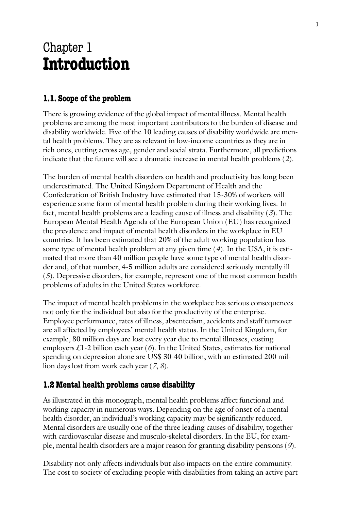# Chapter 1 **Introduction**

# **1.1. Scope of the problem**

There is growing evidence of the global impact of mental illness. Mental health problems are among the most important contributors to the burden of disease and disability worldwide. Five of the 10 leading causes of disability worldwide are mental health problems. They are as relevant in low-income countries as they are in rich ones, cutting across age, gender and social strata. Furthermore, all predictions indicate that the future will see a dramatic increase in mental health problems (*2*).

The burden of mental health disorders on health and productivity has long been underestimated. The United Kingdom Department of Health and the Confederation of British Industry have estimated that 15-30% of workers will experience some form of mental health problem during their working lives. In fact, mental health problems are a leading cause of illness and disability (*3*). The European Mental Health Agenda of the European Union (EU) has recognized the prevalence and impact of mental health disorders in the workplace in EU countries. It has been estimated that 20% of the adult working population has some type of mental health problem at any given time (*4*). In the USA, it is estimated that more than 40 million people have some type of mental health disorder and, of that number, 4-5 million adults are considered seriously mentally ill (*5*). Depressive disorders, for example, represent one of the most common health problems of adults in the United States workforce.

The impact of mental health problems in the workplace has serious consequences not only for the individual but also for the productivity of the enterprise. Employee performance, rates of illness, absenteeism, accidents and staff turnover are all affected by employees' mental health status. In the United Kingdom, for example, 80 million days are lost every year due to mental illnesses, costing employers £1-2 billion each year (*6*). In the United States, estimates for national spending on depression alone are US\$ 30-40 billion, with an estimated 200 million days lost from work each year (*7*, *8*).

## **1.2 Mental health problems cause disability**

As illustrated in this monograph, mental health problems affect functional and working capacity in numerous ways. Depending on the age of onset of a mental health disorder, an individual's working capacity may be significantly reduced. Mental disorders are usually one of the three leading causes of disability, together with cardiovascular disease and musculo-skeletal disorders. In the EU, for example, mental health disorders are a major reason for granting disability pensions (*9*).

Disability not only affects individuals but also impacts on the entire community. The cost to society of excluding people with disabilities from taking an active part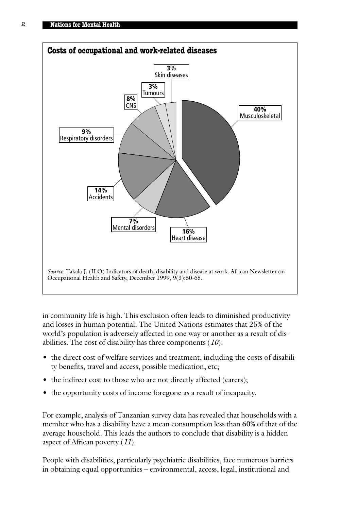

in community life is high. This exclusion often leads to diminished productivity and losses in human potential. The United Nations estimates that 25% of the world's population is adversely affected in one way or another as a result of disabilities*.* The cost of disability has three components (*10*):

- the direct cost of welfare services and treatment, including the costs of disability benefits, travel and access, possible medication, etc;
- the indirect cost to those who are not directly affected (carers);
- the opportunity costs of income foregone as a result of incapacity.

For example, analysis of Tanzanian survey data has revealed that households with a member who has a disability have a mean consumption less than 60% of that of the average household. This leads the authors to conclude that disability is a hidden aspect of African poverty (*11*).

People with disabilities, particularly psychiatric disabilities, face numerous barriers in obtaining equal opportunities – environmental, access, legal, institutional and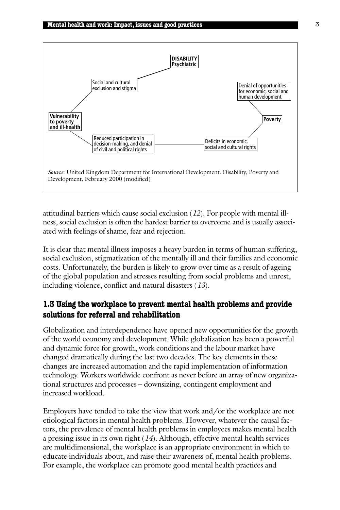

attitudinal barriers which cause social exclusion (*12*). For people with mental illness, social exclusion is often the hardest barrier to overcome and is usually associated with feelings of shame, fear and rejection.

It is clear that mental illness imposes a heavy burden in terms of human suffering, social exclusion, stigmatization of the mentally ill and their families and economic costs. Unfortunately, the burden is likely to grow over time as a result of ageing of the global population and stresses resulting from social problems and unrest, including violence, conflict and natural disasters (*13*).

# **1.3 Using the workplace to prevent mental health problems and provide solutions for referral and rehabilitation**

Globalization and interdependence have opened new opportunities for the growth of the world economy and development. While globalization has been a powerful and dynamic force for growth, work conditions and the labour market have changed dramatically during the last two decades. The key elements in these changes are increased automation and the rapid implementation of information technology. Workers worldwide confront as never before an array of new organizational structures and processes – downsizing, contingent employment and increased workload.

Employers have tended to take the view that work and/or the workplace are not etiological factors in mental health problems. However, whatever the causal factors, the prevalence of mental health problems in employees makes mental health a pressing issue in its own right (*14*). Although, effective mental health services are multidimensional, the workplace is an appropriate environment in which to educate individuals about, and raise their awareness of, mental health problems. For example, the workplace can promote good mental health practices and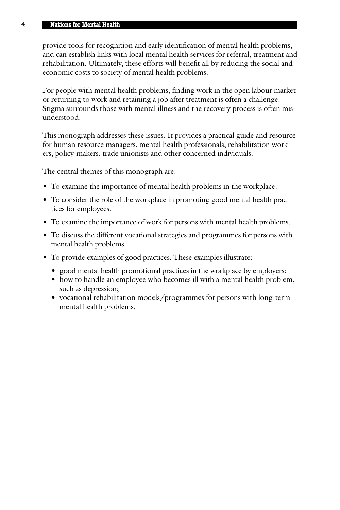#### 4 **Nations for Mental Health**

provide tools for recognition and early identification of mental health problems, and can establish links with local mental health services for referral, treatment and rehabilitation. Ultimately, these efforts will benefit all by reducing the social and economic costs to society of mental health problems.

For people with mental health problems, finding work in the open labour market or returning to work and retaining a job after treatment is often a challenge. Stigma surrounds those with mental illness and the recovery process is often misunderstood.

This monograph addresses these issues. It provides a practical guide and resource for human resource managers, mental health professionals, rehabilitation workers, policy-makers, trade unionists and other concerned individuals.

The central themes of this monograph are:

- To examine the importance of mental health problems in the workplace.
- To consider the role of the workplace in promoting good mental health practices for employees.
- To examine the importance of work for persons with mental health problems.
- To discuss the different vocational strategies and programmes for persons with mental health problems.
- To provide examples of good practices. These examples illustrate:
	- good mental health promotional practices in the workplace by employers;
	- how to handle an employee who becomes ill with a mental health problem, such as depression;
	- vocational rehabilitation models/programmes for persons with long-term mental health problems.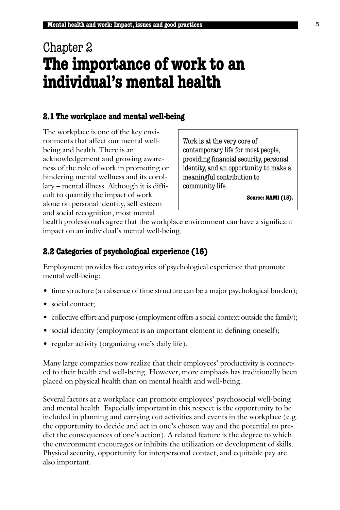# Chapter 2 **The importance of work to an individual's mental health**

## **2.1 The workplace and mental well-being**

The workplace is one of the key environments that affect our mental wellbeing and health. There is an acknowledgement and growing awareness of the role of work in promoting or hindering mental wellness and its corollary – mental illness. Although it is difficult to quantify the impact of work alone on personal identity, self-esteem and social recognition, most mental

Work is at the very core of contemporary life for most people, providing financial security, personal identity, and an opportunity to make a meaningful contribution to community life.

**Source: NAMI (15).**

health professionals agree that the workplace environment can have a significant impact on an individual's mental well-being.

## **2.2 Categories of psychological experience (16)**

Employment provides five categories of psychological experience that promote mental well-being:

- time structure (an absence of time structure can be a major psychological burden);
- social contact;
- collective effort and purpose (employment offers a social context outside the family);
- social identity (employment is an important element in defining oneself);
- regular activity (organizing one's daily life).

Many large companies now realize that their employees' productivity is connected to their health and well-being. However, more emphasis has traditionally been placed on physical health than on mental health and well-being.

Several factors at a workplace can promote employees' psychosocial well-being and mental health. Especially important in this respect is the opportunity to be included in planning and carrying out activities and events in the workplace (e.g. the opportunity to decide and act in one's chosen way and the potential to predict the consequences of one's action). A related feature is the degree to which the environment encourages or inhibits the utilization or development of skills. Physical security, opportunity for interpersonal contact, and equitable pay are also important.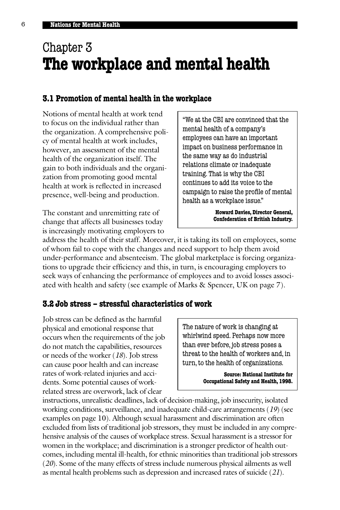# Chapter 3 **The workplace and mental health**

#### **3.1 Promotion of mental health in the workplace**

Notions of mental health at work tend to focus on the individual rather than the organization. A comprehensive policy of mental health at work includes, however, an assessment of the mental health of the organization itself. The gain to both individuals and the organization from promoting good mental health at work is reflected in increased presence, well-being and production.

The constant and unremitting rate of change that affects all businesses today is increasingly motivating employers to "We at the CBI are convinced that the mental health of a company's employees can have an important impact on business performance in the same way as do industrial relations climate or inadequate training. That is why the CBI continues to add its voice to the campaign to raise the profile of mental health as a workplace issue."

> **Howard Davies, Director General, Confederation of British Industry.**

address the health of their staff. Moreover, it is taking its toll on employees, some of whom fail to cope with the changes and need support to help them avoid under-performance and absenteeism. The global marketplace is forcing organizations to upgrade their efficiency and this, in turn, is encouraging employers to seek ways of enhancing the performance of employees and to avoid losses associated with health and safety (see example of Marks & Spencer, UK on page 7).

#### **3.2 Job stress – stressful characteristics of work**

Job stress can be defined as the harmful physical and emotional response that occurs when the requirements of the job do not match the capabilities, resources or needs of the worker (*18*). Job stress can cause poor health and can increase rates of work-related injuries and accidents. Some potential causes of workrelated stress are overwork, lack of clear

The nature of work is changing at whirlwind speed. Perhaps now more than ever before, job stress poses a threat to the health of workers and, in turn, to the health of organizations.

> **Source: National Institute for Occupational Safety and Health, 1998.**

instructions, unrealistic deadlines, lack of decision-making, job insecurity, isolated working conditions, surveillance, and inadequate child-care arrangements (*19*) (see examples on page 10). Although sexual harassment and discrimination are often excluded from lists of traditional job stressors, they must be included in any comprehensive analysis of the causes of workplace stress. Sexual harassment is a stressor for women in the workplace; and discrimination is a stronger predictor of health outcomes, including mental ill-health, for ethnic minorities than traditional job stressors (*20*). Some of the many effects of stress include numerous physical ailments as well as mental health problems such as depression and increased rates of suicide (*21*).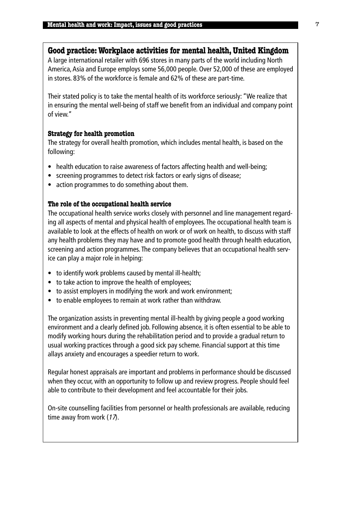#### **Good practice: Workplace activities for mental health, United Kingdom**

A large international retailer with 696 stores in many parts of the world including North America, Asia and Europe employs some 56,000 people. Over 52,000 of these are employed in stores. 83% of the workforce is female and 62% of these are part-time.

Their stated policy is to take the mental health of its workforce seriously: "We realize that in ensuring the mental well-being of staff we benefit from an individual and company point of view."

#### **Strategy for health promotion**

The strategy for overall health promotion, which includes mental health, is based on the following:

- health education to raise awareness of factors affecting health and well-being;
- screening programmes to detect risk factors or early signs of disease;
- action programmes to do something about them.

#### **The role of the occupational health service**

The occupational health service works closely with personnel and line management regarding all aspects of mental and physical health of employees. The occupational health team is available to look at the effects of health on work or of work on health, to discuss with staff any health problems they may have and to promote good health through health education, screening and action programmes. The company believes that an occupational health service can play a major role in helping:

- to identify work problems caused by mental ill-health;
- to take action to improve the health of employees;
- to assist employers in modifying the work and work environment;
- to enable employees to remain at work rather than withdraw.

The organization assists in preventing mental ill-health by giving people a good working environment and a clearly defined job. Following absence, it is often essential to be able to modify working hours during the rehabilitation period and to provide a gradual return to usual working practices through a good sick pay scheme. Financial support at this time allays anxiety and encourages a speedier return to work.

Regular honest appraisals are important and problems in performance should be discussed when they occur, with an opportunity to follow up and review progress. People should feel able to contribute to their development and feel accountable for their jobs.

On-site counselling facilities from personnel or health professionals are available, reducing time away from work  $(17)$ .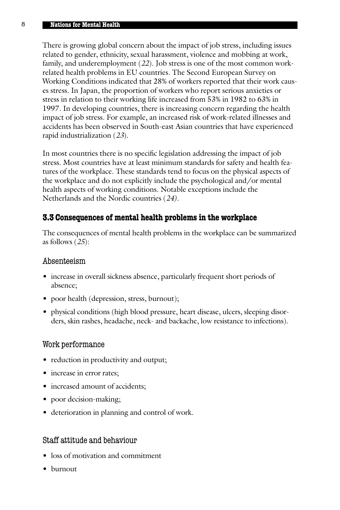#### 8 **Nations for Mental Health**

There is growing global concern about the impact of job stress, including issues related to gender, ethnicity, sexual harassment, violence and mobbing at work, family, and underemployment (*22*). Job stress is one of the most common workrelated health problems in EU countries. The Second European Survey on Working Conditions indicated that 28% of workers reported that their work causes stress. In Japan, the proportion of workers who report serious anxieties or stress in relation to their working life increased from 53% in 1982 to 63% in 1997. In developing countries, there is increasing concern regarding the health impact of job stress. For example, an increased risk of work-related illnesses and accidents has been observed in South-east Asian countries that have experienced rapid industrialization (*23*).

In most countries there is no specific legislation addressing the impact of job stress. Most countries have at least minimum standards for safety and health features of the workplace. These standards tend to focus on the physical aspects of the workplace and do not explicitly include the psychological and/or mental health aspects of working conditions. Notable exceptions include the Netherlands and the Nordic countries (*24).*

#### **3.3 Consequences of mental health problems in the workplace**

The consequences of mental health problems in the workplace can be summarized as follows (*25*):

#### Absenteeism

- increase in overall sickness absence, particularly frequent short periods of absence;
- poor health (depression, stress, burnout);
- physical conditions (high blood pressure, heart disease, ulcers, sleeping disorders, skin rashes, headache, neck- and backache, low resistance to infections).

#### Work performance

- reduction in productivity and output;
- increase in error rates;
- increased amount of accidents;
- poor decision-making;
- deterioration in planning and control of work.

#### Staff attitude and behaviour

- loss of motivation and commitment
- burnout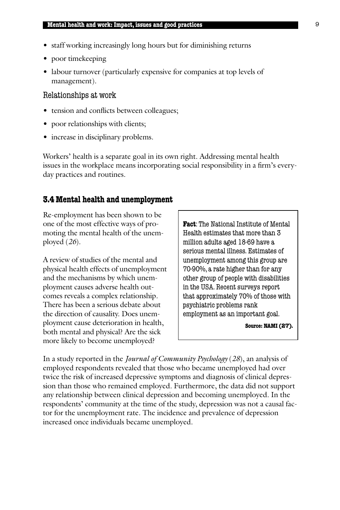- staff working increasingly long hours but for diminishing returns
- poor timekeeping
- labour turnover (particularly expensive for companies at top levels of management).

#### Relationships at work

- tension and conflicts between colleagues;
- poor relationships with clients;
- increase in disciplinary problems.

Workers' health is a separate goal in its own right. Addressing mental health issues in the workplace means incorporating social responsibility in a firm's everyday practices and routines.

#### **3.4 Mental health and unemployment**

Re-employment has been shown to be one of the most effective ways of promoting the mental health of the unemployed (*26*).

A review of studies of the mental and physical health effects of unemployment and the mechanisms by which unemployment causes adverse health outcomes reveals a complex relationship. There has been a serious debate about the direction of causality. Does unemployment cause deterioration in health, both mental and physical? Are the sick more likely to become unemployed?

**Fact**: The National Institute of Mental Health estimates that more than 3 million adults aged 18-69 have a serious mental illness. Estimates of unemployment among this group are 70-90%, a rate higher than for any other group of people with disabilities in the USA. Recent surveys report that approximately 70% of those with psychiatric problems rank employment as an important goal.

**Source: NAMI (27).**

In a study reported in the *Journal of Community Psychology* (*28*), an analysis of employed respondents revealed that those who became unemployed had over twice the risk of increased depressive symptoms and diagnosis of clinical depression than those who remained employed. Furthermore, the data did not support any relationship between clinical depression and becoming unemployed. In the respondents' community at the time of the study, depression was not a causal factor for the unemployment rate. The incidence and prevalence of depression increased once individuals became unemployed.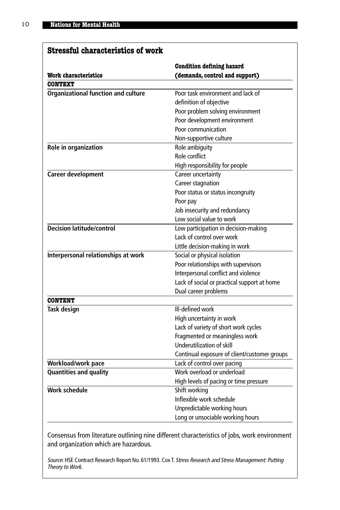# **Stressful characteristics of work**

|                                            | <b>Condition defining hazard</b>             |
|--------------------------------------------|----------------------------------------------|
| <b>Work characteristics</b>                | (demands, control and support)               |
| <b>CONTEXT</b>                             |                                              |
| <b>Organizational function and culture</b> | Poor task environment and lack of            |
|                                            | definition of objective                      |
|                                            | Poor problem solving environment             |
|                                            | Poor development environment                 |
|                                            | Poor communication                           |
|                                            | Non-supportive culture                       |
| Role in organization                       | Role ambiguity                               |
|                                            | Role conflict                                |
|                                            | High responsibility for people               |
| <b>Career development</b>                  | Career uncertainty                           |
|                                            | Career stagnation                            |
|                                            | Poor status or status incongruity            |
|                                            | Poor pay                                     |
|                                            | Job insecurity and redundancy                |
|                                            | Low social value to work                     |
| <b>Decision latitude/control</b>           | Low participation in decision-making         |
|                                            | Lack of control over work                    |
|                                            | Little decision-making in work               |
| Interpersonal relationships at work        | Social or physical isolation                 |
|                                            | Poor relationships with supervisors          |
|                                            | Interpersonal conflict and violence          |
|                                            | Lack of social or practical support at home  |
|                                            | Dual career problems                         |
| <b>CONTENT</b>                             |                                              |
| <b>Task design</b>                         | Ill-defined work                             |
|                                            | High uncertainty in work                     |
|                                            | Lack of variety of short work cycles         |
|                                            | Fragmented or meaningless work               |
|                                            | Underutilization of skill                    |
|                                            | Continual exposure of client/customer groups |
| Workload/work pace                         | Lack of control over pacing                  |
| Quantities and quality                     | Work overload or underload                   |
|                                            | High levels of pacing or time pressure       |
| <b>Work schedule</b>                       | Shift working                                |
|                                            | Inflexible work schedule                     |
|                                            | Unpredictable working hours                  |
|                                            | Long or unsociable working hours             |

Consensus from literature outlining nine different characteristics of jobs, work environment and organization which are hazardous.

Source: HSE Contract Research Report No. 61/1993. Cox T. Stress Research and Stress Management: Putting Theory to Work.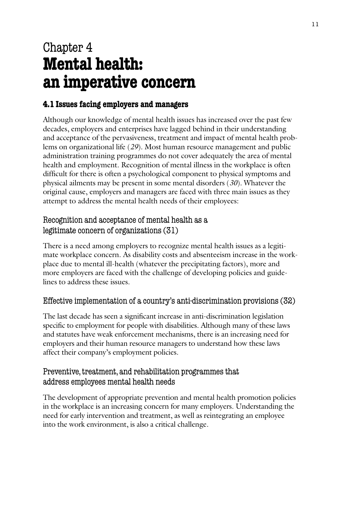# Chapter 4 **Mental health: an imperative concern**

# **4.1 Issues facing employers and managers**

Although our knowledge of mental health issues has increased over the past few decades, employers and enterprises have lagged behind in their understanding and acceptance of the pervasiveness, treatment and impact of mental health problems on organizational life (*29*). Most human resource management and public administration training programmes do not cover adequately the area of mental health and employment. Recognition of mental illness in the workplace is often difficult for there is often a psychological component to physical symptoms and physical ailments may be present in some mental disorders (*30*). Whatever the original cause, employers and managers are faced with three main issues as they attempt to address the mental health needs of their employees:

# Recognition and acceptance of mental health as a legitimate concern of organizations (31)

There is a need among employers to recognize mental health issues as a legitimate workplace concern. As disability costs and absenteeism increase in the workplace due to mental ill-health (whatever the precipitating factors), more and more employers are faced with the challenge of developing policies and guidelines to address these issues.

# Effective implementation of a country's anti-discrimination provisions (32)

The last decade has seen a significant increase in anti-discrimination legislation specific to employment for people with disabilities. Although many of these laws and statutes have weak enforcement mechanisms, there is an increasing need for employers and their human resource managers to understand how these laws affect their company's employment policies.

## Preventive, treatment, and rehabilitation programmes that address employees mental health needs

The development of appropriate prevention and mental health promotion policies in the workplace is an increasing concern for many employers. Understanding the need for early intervention and treatment, as well as reintegrating an employee into the work environment, is also a critical challenge.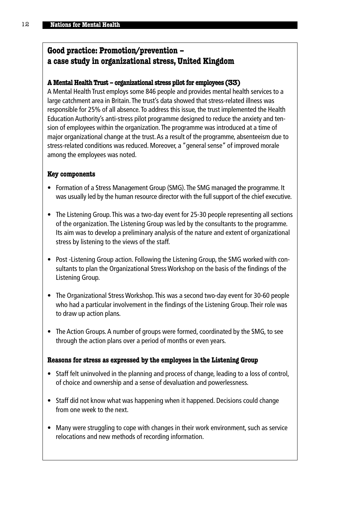# **Good practice: Promotion/prevention – a case study in organizational stress, United Kingdom**

#### **A Mental Health Trust – organizational stress pilot for employees (33)**

A Mental Health Trust employs some 846 people and provides mental health services to a large catchment area in Britain.The trust's data showed that stress-related illness was responsible for 25% of all absence.To address this issue, the trust implemented the Health Education Authority's anti-stress pilot programme designed to reduce the anxiety and tension of employees within the organization.The programme was introduced at a time of major organizational change at the trust.As a result of the programme, absenteeism due to stress-related conditions was reduced. Moreover, a "general sense" of improved morale among the employees was noted.

#### **Key components**

- Formation of a Stress Management Group (SMG).The SMG managed the programme. It was usually led by the human resource director with the full support of the chief executive.
- The Listening Group. This was a two-day event for 25-30 people representing all sections of the organization. The Listening Group was led by the consultants to the programme. Its aim was to develop a preliminary analysis of the nature and extent of organizational stress by listening to the views of the staff.
- Post -Listening Group action. Following the Listening Group, the SMG worked with consultants to plan the Organizational Stress Workshop on the basis of the findings of the Listening Group.
- The Organizational Stress Workshop. This was a second two-day event for 30-60 people who had a particular involvement in the findings of the Listening Group. Their role was to draw up action plans.
- The Action Groups. A number of groups were formed, coordinated by the SMG, to see through the action plans over a period of months or even years.

#### **Reasons for stress as expressed by the employees in the Listening Group**

- Staff felt uninvolved in the planning and process of change, leading to a loss of control, of choice and ownership and a sense of devaluation and powerlessness.
- Staff did not know what was happening when it happened. Decisions could change from one week to the next.
- Many were struggling to cope with changes in their work environment, such as service relocations and new methods of recording information.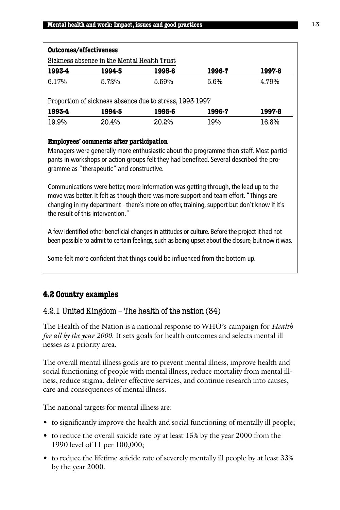|        | Sickness absence in the Mental Health Trust             |        |        |        |
|--------|---------------------------------------------------------|--------|--------|--------|
| 1993-4 | 1994-5                                                  | 1995-6 | 1996-7 | 1997-8 |
| 6.17%  | 5.72%                                                   | 5.59%  | 5.6%   | 4.79%  |
|        |                                                         |        |        |        |
|        | Proportion of sickness absence due to stress, 1993-1997 |        |        |        |
| 1993-4 | 1994-5                                                  | 1995-6 | 1996-7 | 1997-8 |

#### **Employees' comments after participation**

Managers were generally more enthusiastic about the programme than staff. Most participants in workshops or action groups felt they had benefited. Several described the programme as "therapeutic" and constructive.

Communications were better, more information was getting through, the lead up to the move was better. It felt as though there was more support and team effort. "Things are changing in my department - there's more on offer, training, support but don't know if it's the result of this intervention."

A few identified other beneficial changes in attitudes or culture. Before the project it had not been possible to admit to certain feelings, such as being upset about the closure, but now it was.

Some felt more confident that things could be influenced from the bottom up.

# **4.2 Country examples**

## 4.2.1 United Kingdom – The health of the nation (34)

The Health of the Nation is a national response to WHO's campaign for *Health for all by the year 2000*. It sets goals for health outcomes and selects mental illnesses as a priority area.

The overall mental illness goals are to prevent mental illness, improve health and social functioning of people with mental illness, reduce mortality from mental illness, reduce stigma, deliver effective services, and continue research into causes, care and consequences of mental illness.

The national targets for mental illness are:

- to significantly improve the health and social functioning of mentally ill people;
- to reduce the overall suicide rate by at least 15% by the year 2000 from the 1990 level of 11 per 100,000;
- to reduce the lifetime suicide rate of severely mentally ill people by at least 33% by the year 2000.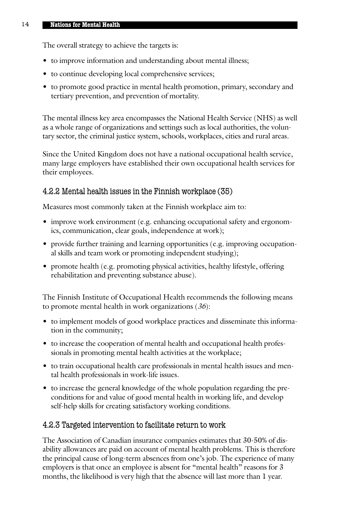The overall strategy to achieve the targets is:

- to improve information and understanding about mental illness;
- to continue developing local comprehensive services;
- to promote good practice in mental health promotion, primary, secondary and tertiary prevention, and prevention of mortality.

The mental illness key area encompasses the National Health Service (NHS) as well as a whole range of organizations and settings such as local authorities, the voluntary sector, the criminal justice system, schools, workplaces, cities and rural areas.

Since the United Kingdom does not have a national occupational health service, many large employers have established their own occupational health services for their employees*.*

## 4.2.2 Mental health issues in the Finnish workplace (35)

Measures most commonly taken at the Finnish workplace aim to:

- improve work environment (e.g. enhancing occupational safety and ergonomics, communication, clear goals, independence at work);
- provide further training and learning opportunities (e.g. improving occupational skills and team work or promoting independent studying);
- promote health (e.g. promoting physical activities, healthy lifestyle, offering rehabilitation and preventing substance abuse).

The Finnish Institute of Occupational Health recommends the following means to promote mental health in work organizations (*36*):

- to implement models of good workplace practices and disseminate this information in the community;
- to increase the cooperation of mental health and occupational health professionals in promoting mental health activities at the workplace;
- to train occupational health care professionals in mental health issues and mental health professionals in work-life issues.
- to increase the general knowledge of the whole population regarding the preconditions for and value of good mental health in working life, and develop self-help skills for creating satisfactory working conditions.

## 4.2.3 Targeted intervention to facilitate return to work

The Association of Canadian insurance companies estimates that 30-50% of disability allowances are paid on account of mental health problems. This is therefore the principal cause of long-term absences from one's job. The experience of many employers is that once an employee is absent for "mental health" reasons for 3 months, the likelihood is very high that the absence will last more than 1 year.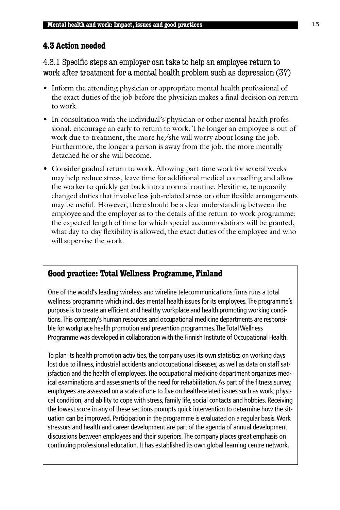## **4.3 Action needed**

4.3.1 Specific steps an employer can take to help an employee return to work after treatment for a mental health problem such as depression (37)

- Inform the attending physician or appropriate mental health professional of the exact duties of the job before the physician makes a final decision on return to work.
- In consultation with the individual's physician or other mental health professional, encourage an early to return to work. The longer an employee is out of work due to treatment, the more he/she will worry about losing the job. Furthermore, the longer a person is away from the job, the more mentally detached he or she will become.
- Consider gradual return to work. Allowing part-time work for several weeks may help reduce stress, leave time for additional medical counselling and allow the worker to quickly get back into a normal routine. Flexitime, temporarily changed duties that involve less job-related stress or other flexible arrangements may be useful. However, there should be a clear understanding between the employee and the employer as to the details of the return-to-work programme: the expected length of time for which special accommodations will be granted, what day-to-day flexibility is allowed, the exact duties of the employee and who will supervise the work.

## **Good practice: Total Wellness Programme, Finland**

One of the world's leading wireless and wireline telecommunications firms runs a total wellness programme which includes mental health issues for its employees. The programme's purpose is to create an efficient and healthy workplace and health promoting working conditions.This company's human resources and occupational medicine departments are responsible for workplace health promotion and prevention programmes.The Total Wellness Programme was developed in collaboration with the Finnish Institute of Occupational Health.

To plan its health promotion activities, the company uses its own statistics on working days lost due to illness, industrial accidents and occupational diseases, as well as data on staff satisfaction and the health of employees.The occupational medicine department organizes medical examinations and assessments of the need for rehabilitation. As part of the fitness survey, employees are assessed on a scale of one to five on health-related issues such as work, physical condition, and ability to cope with stress, family life, social contacts and hobbies. Receiving the lowest score in any of these sections prompts quick intervention to determine how the situation can be improved. Participation in the programme is evaluated on a regular basis.Work stressors and health and career development are part of the agenda of annual development discussions between employees and their superiors.The company places great emphasis on continuing professional education. It has established its own global learning centre network.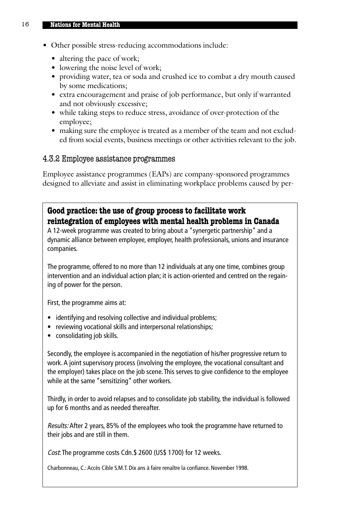- Other possible stress-reducing accommodations include:
	- altering the pace of work;
	- lowering the noise level of work;
	- providing water, tea or soda and crushed ice to combat a dry mouth caused by some medications;
	- extra encouragement and praise of job performance, but only if warranted and not obviously excessive;
	- while taking steps to reduce stress, avoidance of over-protection of the employee;
	- making sure the employee is treated as a member of the team and not excluded from social events, business meetings or other activities relevant to the job.

#### 4.3.2 Employee assistance programmes

Employee assistance programmes (EAPs) are company-sponsored programmes designed to alleviate and assist in eliminating workplace problems caused by per-

#### **Good practice: the use of group process to facilitate work reintegration of employees with mental health problems in Canada**

A 12-week programme was created to bring about a "synergetic partnership" and a dynamic alliance between employee, employer, health professionals, unions and insurance companies.

The programme, offered to no more than 12 individuals at any one time, combines group intervention and an individual action plan; it is action-oriented and centred on the regaining of power for the person.

First, the programme aims at:

- identifying and resolving collective and individual problems;
- reviewing vocational skills and interpersonal relationships;
- consolidating job skills.

Secondly, the employee is accompanied in the negotiation of his/her progressive return to work. A joint supervisory process (involving the employee, the vocational consultant and the employer) takes place on the job scene. This serves to give confidence to the employee while at the same "sensitizing" other workers.

Thirdly, in order to avoid relapses and to consolidate job stability, the individual is followed up for 6 months and as needed thereafter.

Results: After 2 years, 85% of the employees who took the programme have returned to their jobs and are still in them.

Cost: The programme costs Cdn.\$ 2600 (US\$ 1700) for 12 weeks.

Charbonneau, C.: Accès Cible S.M.T. Dix ans à faire renaître la confiance. November 1998.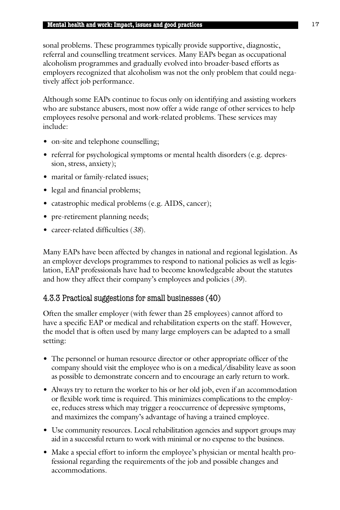sonal problems. These programmes typically provide supportive, diagnostic, referral and counselling treatment services. Many EAPs began as occupational alcoholism programmes and gradually evolved into broader-based efforts as employers recognized that alcoholism was not the only problem that could negatively affect job performance.

Although some EAPs continue to focus only on identifying and assisting workers who are substance abusers, most now offer a wide range of other services to help employees resolve personal and work-related problems. These services may include:

- on-site and telephone counselling;
- referral for psychological symptoms or mental health disorders (e.g. depression, stress, anxiety);
- marital or family-related issues;
- legal and financial problems;
- catastrophic medical problems (e.g. AIDS, cancer);
- pre-retirement planning needs;
- career-related difficulties (*38*).

Many EAPs have been affected by changes in national and regional legislation. As an employer develops programmes to respond to national policies as well as legislation, EAP professionals have had to become knowledgeable about the statutes and how they affect their company's employees and policies (*39*).

#### 4.3.3 Practical suggestions for small businesses (40)

Often the smaller employer (with fewer than 25 employees) cannot afford to have a specific EAP or medical and rehabilitation experts on the staff. However, the model that is often used by many large employers can be adapted to a small setting:

- The personnel or human resource director or other appropriate officer of the company should visit the employee who is on a medical/disability leave as soon as possible to demonstrate concern and to encourage an early return to work.
- Always try to return the worker to his or her old job, even if an accommodation or flexible work time is required. This minimizes complications to the employee, reduces stress which may trigger a reoccurrence of depressive symptoms, and maximizes the company's advantage of having a trained employee.
- Use community resources. Local rehabilitation agencies and support groups may aid in a successful return to work with minimal or no expense to the business.
- Make a special effort to inform the employee's physician or mental health professional regarding the requirements of the job and possible changes and accommodations.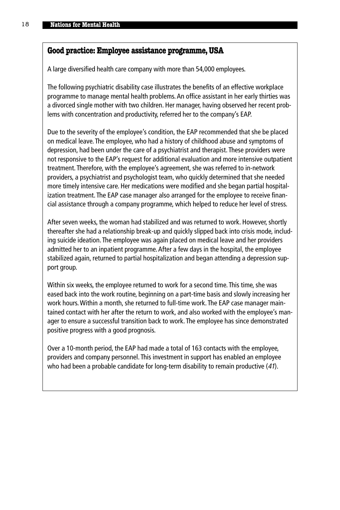#### **Good practice: Employee assistance programme,USA**

A large diversified health care company with more than 54,000 employees.

The following psychiatric disability case illustrates the benefits of an effective workplace programme to manage mental health problems. An office assistant in her early thirties was a divorced single mother with two children. Her manager, having observed her recent problems with concentration and productivity, referred her to the company's EAP.

Due to the severity of the employee's condition, the EAP recommended that she be placed on medical leave. The employee, who had a history of childhood abuse and symptoms of depression, had been under the care of a psychiatrist and therapist. These providers were not responsive to the EAP's request for additional evaluation and more intensive outpatient treatment. Therefore, with the employee's agreement, she was referred to in-network providers, a psychiatrist and psychologist team, who quickly determined that she needed more timely intensive care. Her medications were modified and she began partial hospitalization treatment. The EAP case manager also arranged for the employee to receive financial assistance through a company programme, which helped to reduce her level of stress.

After seven weeks, the woman had stabilized and was returned to work. However, shortly thereafter she had a relationship break-up and quickly slipped back into crisis mode, including suicide ideation. The employee was again placed on medical leave and her providers admitted her to an inpatient programme. After a few days in the hospital, the employee stabilized again, returned to partial hospitalization and began attending a depression support group.

Within six weeks, the employee returned to work for a second time. This time, she was eased back into the work routine, beginning on a part-time basis and slowly increasing her work hours. Within a month, she returned to full-time work. The EAP case manager maintained contact with her after the return to work, and also worked with the employee's manager to ensure a successful transition back to work. The employee has since demonstrated positive progress with a good prognosis.

Over a 10-month period, the EAP had made a total of 163 contacts with the employee, providers and company personnel. This investment in support has enabled an employee who had been a probable candidate for long-term disability to remain productive (41).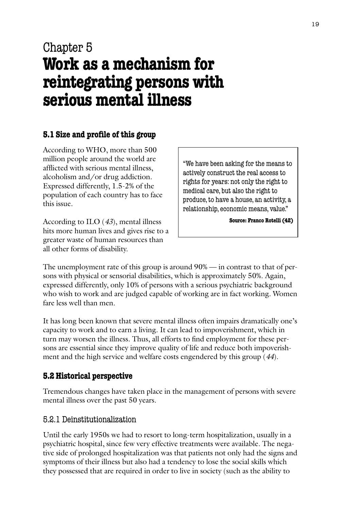# Chapter 5 **Work as a mechanism for reintegrating persons with serious mental illness**

# **5.1 Size and profile of this group**

According to WHO, more than 500 million people around the world are afflicted with serious mental illness, alcoholism and/or drug addiction. Expressed differently, 1.5-2% of the population of each country has to face this issue.

According to ILO (*43*), mental illness hits more human lives and gives rise to a greater waste of human resources than all other forms of disability.

"We have been asking for the means to actively construct the real access to rights for years: not only the right to medical care, but also the right to produce, to have a house, an activity, a relationship, economic means, value."

**Source: Franco Rotelli (42)**

The unemployment rate of this group is around 90% — in contrast to that of persons with physical or sensorial disabilities, which is approximately 50%. Again, expressed differently, only 10% of persons with a serious psychiatric background who wish to work and are judged capable of working are in fact working. Women fare less well than men.

It has long been known that severe mental illness often impairs dramatically one's capacity to work and to earn a living. It can lead to impoverishment, which in turn may worsen the illness. Thus, all efforts to find employment for these persons are essential since they improve quality of life and reduce both impoverishment and the high service and welfare costs engendered by this group (*44*).

# **5.2 Historical perspective**

Tremendous changes have taken place in the management of persons with severe mental illness over the past 50 years.

## 5.2.1 Deinstitutionalization

Until the early 1950s we had to resort to long-term hospitalization, usually in a psychiatric hospital, since few very effective treatments were available. The negative side of prolonged hospitalization was that patients not only had the signs and symptoms of their illness but also had a tendency to lose the social skills which they possessed that are required in order to live in society (such as the ability to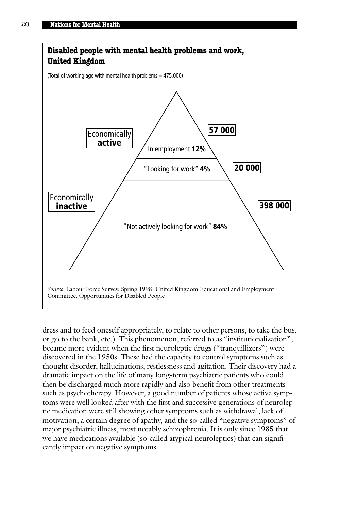

dress and to feed oneself appropriately, to relate to other persons, to take the bus, or go to the bank, etc.). This phenomenon, referred to as "institutionalization", became more evident when the first neuroleptic drugs ("tranquillizers") were discovered in the 1950s. These had the capacity to control symptoms such as thought disorder, hallucinations, restlessness and agitation. Their discovery had a dramatic impact on the life of many long-term psychiatric patients who could then be discharged much more rapidly and also benefit from other treatments such as psychotherapy. However, a good number of patients whose active symptoms were well looked after with the first and successive generations of neuroleptic medication were still showing other symptoms such as withdrawal, lack of motivation, a certain degree of apathy, and the so-called "negative symptoms" of major psychiatric illness, most notably schizophrenia. It is only since 1985 that we have medications available (so-called atypical neuroleptics) that can significantly impact on negative symptoms.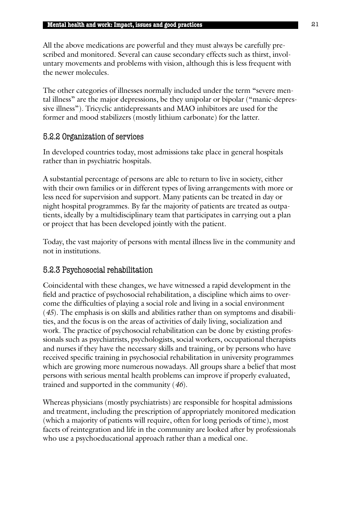All the above medications are powerful and they must always be carefully prescribed and monitored. Several can cause secondary effects such as thirst, involuntary movements and problems with vision, although this is less frequent with the newer molecules.

The other categories of illnesses normally included under the term "severe mental illness" are the major depressions, be they unipolar or bipolar ("manic-depressive illness"). Tricyclic antidepressants and MAO inhibitors are used for the former and mood stabilizers (mostly lithium carbonate) for the latter.

#### 5.2.2 Organization of services

In developed countries today, most admissions take place in general hospitals rather than in psychiatric hospitals.

A substantial percentage of persons are able to return to live in society, either with their own families or in different types of living arrangements with more or less need for supervision and support. Many patients can be treated in day or night hospital programmes. By far the majority of patients are treated as outpatients, ideally by a multidisciplinary team that participates in carrying out a plan or project that has been developed jointly with the patient.

Today, the vast majority of persons with mental illness live in the community and not in institutions.

## 5.2.3 Psychosocial rehabilitation

Coincidental with these changes, we have witnessed a rapid development in the field and practice of psychosocial rehabilitation, a discipline which aims to overcome the difficulties of playing a social role and living in a social environment (*45*). The emphasis is on skills and abilities rather than on symptoms and disabilities, and the focus is on the areas of activities of daily living, socialization and work. The practice of psychosocial rehabilitation can be done by existing professionals such as psychiatrists, psychologists, social workers, occupational therapists and nurses if they have the necessary skills and training, or by persons who have received specific training in psychosocial rehabilitation in university programmes which are growing more numerous nowadays. All groups share a belief that most persons with serious mental health problems can improve if properly evaluated, trained and supported in the community (*46*).

Whereas physicians (mostly psychiatrists) are responsible for hospital admissions and treatment, including the prescription of appropriately monitored medication (which a majority of patients will require, often for long periods of time), most facets of reintegration and life in the community are looked after by professionals who use a psychoeducational approach rather than a medical one.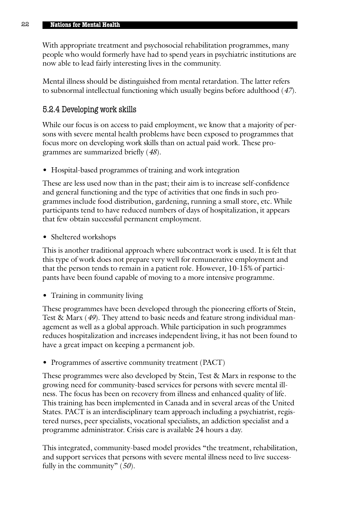With appropriate treatment and psychosocial rehabilitation programmes, many people who would formerly have had to spend years in psychiatric institutions are now able to lead fairly interesting lives in the community.

Mental illness should be distinguished from mental retardation. The latter refers to subnormal intellectual functioning which usually begins before adulthood (*47*).

#### 5.2.4 Developing work skills

While our focus is on access to paid employment, we know that a majority of persons with severe mental health problems have been exposed to programmes that focus more on developing work skills than on actual paid work. These programmes are summarized briefly (*48*).

• Hospital-based programmes of training and work integration

These are less used now than in the past; their aim is to increase self-confidence and general functioning and the type of activities that one finds in such programmes include food distribution, gardening, running a small store, etc. While participants tend to have reduced numbers of days of hospitalization, it appears that few obtain successful permanent employment.

• Sheltered workshops

This is another traditional approach where subcontract work is used. It is felt that this type of work does not prepare very well for remunerative employment and that the person tends to remain in a patient role. However, 10-15% of participants have been found capable of moving to a more intensive programme.

• Training in community living

These programmes have been developed through the pioneering efforts of Stein, Test & Marx (*49*). They attend to basic needs and feature strong individual management as well as a global approach. While participation in such programmes reduces hospitalization and increases independent living, it has not been found to have a great impact on keeping a permanent job.

• Programmes of assertive community treatment (PACT)

These programmes were also developed by Stein, Test & Marx in response to the growing need for community-based services for persons with severe mental illness. The focus has been on recovery from illness and enhanced quality of life. This training has been implemented in Canada and in several areas of the United States. PACT is an interdisciplinary team approach including a psychiatrist, registered nurses, peer specialists, vocational specialists, an addiction specialist and a programme administrator. Crisis care is available 24 hours a day.

This integrated, community-based model provides "the treatment, rehabilitation, and support services that persons with severe mental illness need to live successfully in the community" (*50*).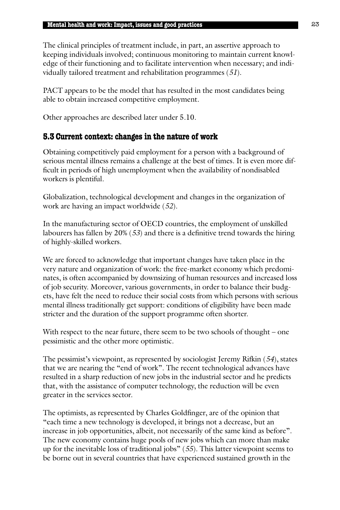The clinical principles of treatment include, in part, an assertive approach to keeping individuals involved; continuous monitoring to maintain current knowledge of their functioning and to facilitate intervention when necessary; and individually tailored treatment and rehabilitation programmes (*51*).

PACT appears to be the model that has resulted in the most candidates being able to obtain increased competitive employment.

Other approaches are described later under 5.10.

#### **5.3 Current context: changes in the nature of work**

Obtaining competitively paid employment for a person with a background of serious mental illness remains a challenge at the best of times. It is even more difficult in periods of high unemployment when the availability of nondisabled workers is plentiful.

Globalization, technological development and changes in the organization of work are having an impact worldwide (*52*).

In the manufacturing sector of OECD countries, the employment of unskilled labourers has fallen by 20% (*53*) and there is a definitive trend towards the hiring of highly-skilled workers.

We are forced to acknowledge that important changes have taken place in the very nature and organization of work: the free-market economy which predominates, is often accompanied by downsizing of human resources and increased loss of job security. Moreover, various governments, in order to balance their budgets, have felt the need to reduce their social costs from which persons with serious mental illness traditionally get support: conditions of eligibility have been made stricter and the duration of the support programme often shorter.

With respect to the near future, there seem to be two schools of thought – one pessimistic and the other more optimistic.

The pessimist's viewpoint, as represented by sociologist Jeremy Rifkin (*54*), states that we are nearing the "end of work". The recent technological advances have resulted in a sharp reduction of new jobs in the industrial sector and he predicts that, with the assistance of computer technology, the reduction will be even greater in the services sector.

The optimists, as represented by Charles Goldfinger, are of the opinion that "each time a new technology is developed, it brings not a decrease, but an increase in job opportunities, albeit, not necessarily of the same kind as before". The new economy contains huge pools of new jobs which can more than make up for the inevitable loss of traditional jobs" (*55*). This latter viewpoint seems to be borne out in several countries that have experienced sustained growth in the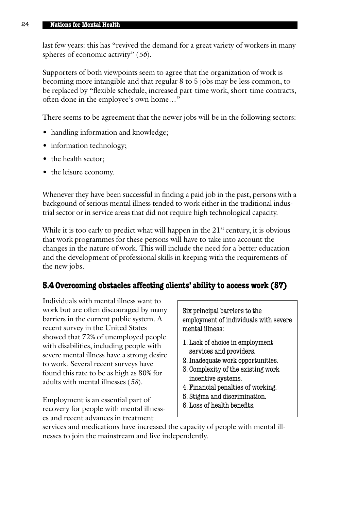#### 24 **Nations for Mental Health**

last few years: this has "revived the demand for a great variety of workers in many spheres of economic activity" (*56*).

Supporters of both viewpoints seem to agree that the organization of work is becoming more intangible and that regular 8 to 5 jobs may be less common, to be replaced by "flexible schedule, increased part-time work, short-time contracts, often done in the employee's own home…"

There seems to be agreement that the newer jobs will be in the following sectors:

- handling information and knowledge;
- information technology;
- the health sector;
- the leisure economy.

Whenever they have been successful in finding a paid job in the past, persons with a backgound of serious mental illness tended to work either in the traditional industrial sector or in service areas that did not require high technological capacity.

While it is too early to predict what will happen in the  $21^{st}$  century, it is obvious that work programmes for these persons will have to take into account the changes in the nature of work. This will include the need for a better education and the development of professional skills in keeping with the requirements of the new jobs.

#### **5.4 Overcoming obstacles affecting clients' ability to access work (57)**

Individuals with mental illness want to work but are often discouraged by many barriers in the current public system. A recent survey in the United States showed that 72% of unemployed people with disabilities, including people with severe mental illness have a strong desire to work. Several recent surveys have found this rate to be as high as 80% for adults with mental illnesses (*58*).

Employment is an essential part of recovery for people with mental illnesses and recent advances in treatment

Six principal barriers to the employment of individuals with severe mental illness:

- 1. Lack of choice in employment services and providers.
- 2. Inadequate work opportunities.
- 3. Complexity of the existing work incentive systems.
- 4. Financial penalties of working.
- 5. Stigma and discrimination.
- 6. Loss of health benefits.

services and medications have increased the capacity of people with mental illnesses to join the mainstream and live independently.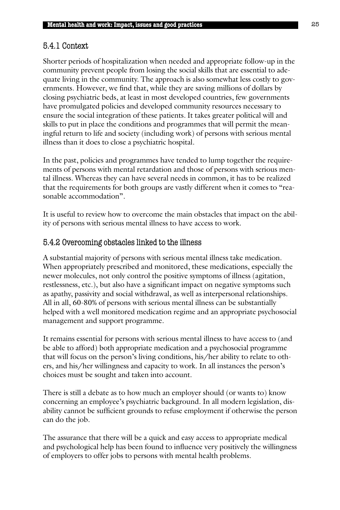# 5.4.1 Context

Shorter periods of hospitalization when needed and appropriate follow-up in the community prevent people from losing the social skills that are essential to adequate living in the community. The approach is also somewhat less costly to governments. However, we find that, while they are saving millions of dollars by closing psychiatric beds, at least in most developed countries, few governments have promulgated policies and developed community resources necessary to ensure the social integration of these patients*.* It takes greater political will and skills to put in place the conditions and programmes that will permit the meaningful return to life and society (including work) of persons with serious mental illness than it does to close a psychiatric hospital.

In the past, policies and programmes have tended to lump together the requirements of persons with mental retardation and those of persons with serious mental illness. Whereas they can have several needs in common, it has to be realized that the requirements for both groups are vastly different when it comes to "reasonable accommodation".

It is useful to review how to overcome the main obstacles that impact on the ability of persons with serious mental illness to have access to work.

# 5.4.2 Overcoming obstacles linked to the illness

A substantial majority of persons with serious mental illness take medication. When appropriately prescribed and monitored, these medications, especially the newer molecules, not only control the positive symptoms of illness (agitation, restlessness, etc.), but also have a significant impact on negative symptoms such as apathy, passivity and social withdrawal, as well as interpersonal relationships. All in all, 60-80% of persons with serious mental illness can be substantially helped with a well monitored medication regime and an appropriate psychosocial management and support programme.

It remains essential for persons with serious mental illness to have access to (and be able to afford) both appropriate medication and a psychosocial programme that will focus on the person's living conditions, his/her ability to relate to others, and his/her willingness and capacity to work. In all instances the person's choices must be sought and taken into account.

There is still a debate as to how much an employer should (or wants to) know concerning an employee's psychiatric background. In all modern legislation, disability cannot be sufficient grounds to refuse employment if otherwise the person can do the job.

The assurance that there will be a quick and easy access to appropriate medical and psychological help has been found to influence very positively the willingness of employers to offer jobs to persons with mental health problems.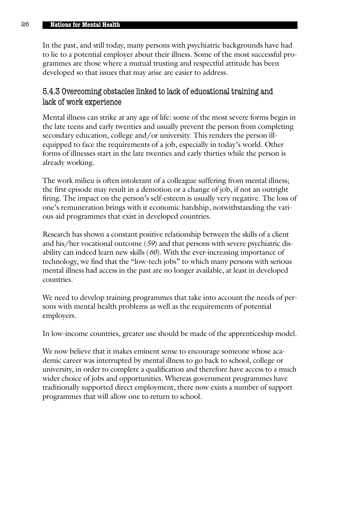In the past, and still today, many persons with psychiatric backgrounds have had to lie to a potential employer about their illness. Some of the most successful programmes are those where a mutual trusting and respectful attitude has been developed so that issues that may arise are easier to address.

## 5.4.3 Overcoming obstacles linked to lack of educational training and lack of work experience

Mental illness can strike at any age of life: some of the most severe forms begin in the late teens and early twenties and usually prevent the person from completing secondary education, college and/or university. This renders the person illequipped to face the requirements of a job, especially in today's world. Other forms of illnesses start in the late twenties and early thirties while the person is already working.

The work milieu is often intolerant of a colleague suffering from mental illness; the first episode may result in a demotion or a change of job, if not an outright firing. The impact on the person's self-esteem is usually very negative. The loss of one's remuneration brings with it economic hardship, notwithstanding the various aid programmes that exist in developed countries.

Research has shown a constant positive relationship between the skills of a client and his/her vocational outcome (*59*) and that persons with severe psychiatric disability can indeed learn new skills (*60*). With the ever-increasing importance of technology, we find that the "low-tech jobs" to which many persons with serious mental illness had access in the past are no longer available, at least in developed countries.

We need to develop training programmes that take into account the needs of persons with mental health problems as well as the requirements of potential employers.

In low-income countries, greater use should be made of the apprenticeship model.

We now believe that it makes eminent sense to encourage someone whose academic career was interrupted by mental illness to go back to school, college or university, in order to complete a qualification and therefore have access to a much wider choice of jobs and opportunities. Whereas government programmes have traditionally supported direct employment, there now exists a number of support programmes that will allow one to return to school.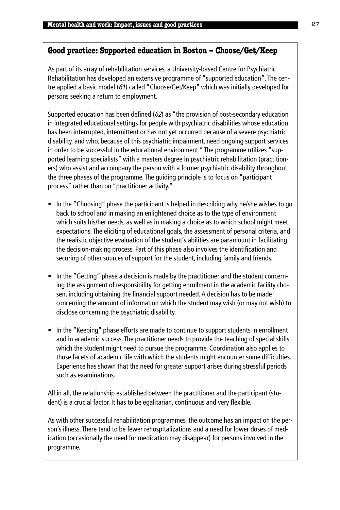## **Good practice: Supported education in Boston – Choose/Get/Keep**

As part of its array of rehabilitation services, a University-based Centre for Psychiatric Rehabilitation has developed an extensive programme of "supported education". The centre applied a basic model (61) called "Choose/Get/Keep" which was initially developed for persons seeking a return to employment.

Supported education has been defined (62) as "the provision of post-secondary education in integrated educational settings for people with psychiatric disabilities whose education has been interrupted, intermittent or has not yet occurred because of a severe psychiatric disability, and who, because of this psychiatric impairment, need ongoing support services in order to be successful in the educational environment." The programme utilizes "supported learning specialists" with a masters degree in psychiatric rehabilitation (practitioners) who assist and accompany the person with a former psychiatric disability throughout the three phases of the programme. The guiding principle is to focus on "participant process" rather than on "practitioner activity."

- In the "Choosing" phase the participant is helped in describing why he/she wishes to go back to school and in making an enlightened choice as to the type of environment which suits his/her needs, as well as in making a choice as to which school might meet expectations. The eliciting of educational goals, the assessment of personal criteria, and the realistic objective evaluation of the student's abilities are paramount in facilitating the decision-making process. Part of this phase also involves the identification and securing of other sources of support for the student, including family and friends.
- In the "Getting" phase a decision is made by the practitioner and the student concerning the assignment of responsibility for getting enrollment in the academic facility chosen, including obtaining the financial support needed. A decision has to be made concerning the amount of information which the student may wish (or may not wish) to disclose concerning the psychiatric disability.
- In the "Keeping" phase efforts are made to continue to support students in enrollment and in academic success. The practitioner needs to provide the teaching of special skills which the student might need to pursue the programme. Coordination also applies to those facets of academic life with which the students might encounter some difficulties. Experience has shown that the need for greater support arises during stressful periods such as examinations.

All in all, the relationship established between the practitioner and the participant (student) is a crucial factor. It has to be egalitarian, continuous and very flexible.

As with other successful rehabilitation programmes, the outcome has an impact on the person's illness. There tend to be fewer rehospitalizations and a need for lower doses of medication (occasionally the need for medication may disappear) for persons involved in the programme.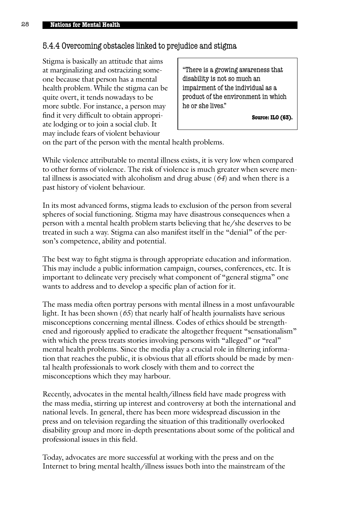# 5.4.4 Overcoming obstacles linked to prejudice and stigma

Stigma is basically an attitude that aims at marginalizing and ostracizing someone because that person has a mental health problem. While the stigma can be quite overt, it tends nowadays to be more subtle. For instance, a person may find it very difficult to obtain appropriate lodging or to join a social club. It may include fears of violent behaviour

"There is a growing awareness that disability is not so much an impairment of the individual as a product of the environment in which he or she lives."

**Source: ILO (63).**

on the part of the person with the mental health problems.

While violence attributable to mental illness exists, it is very low when compared to other forms of violence. The risk of violence is much greater when severe mental illness is associated with alcoholism and drug abuse (*64*) and when there is a past history of violent behaviour.

In its most advanced forms, stigma leads to exclusion of the person from several spheres of social functioning. Stigma may have disastrous consequences when a person with a mental health problem starts believing that he/she deserves to be treated in such a way. Stigma can also manifest itself in the "denial" of the person's competence, ability and potential.

The best way to fight stigma is through appropriate education and information. This may include a public information campaign, courses, conferences, etc. It is important to delineate very precisely what component of "general stigma" one wants to address and to develop a specific plan of action for it.

The mass media often portray persons with mental illness in a most unfavourable light. It has been shown (*65*) that nearly half of health journalists have serious misconceptions concerning mental illness. Codes of ethics should be strengthened and rigorously applied to eradicate the altogether frequent "sensationalism" with which the press treats stories involving persons with "alleged" or "real" mental health problems. Since the media play a crucial role in filtering information that reaches the public, it is obvious that all efforts should be made by mental health professionals to work closely with them and to correct the misconceptions which they may harbour.

Recently, advocates in the mental health/illness field have made progress with the mass media, stirring up interest and controversy at both the international and national levels. In general, there has been more widespread discussion in the press and on television regarding the situation of this traditionally overlooked disability group and more in-depth presentations about some of the political and professional issues in this field.

Today, advocates are more successful at working with the press and on the Internet to bring mental health/illness issues both into the mainstream of the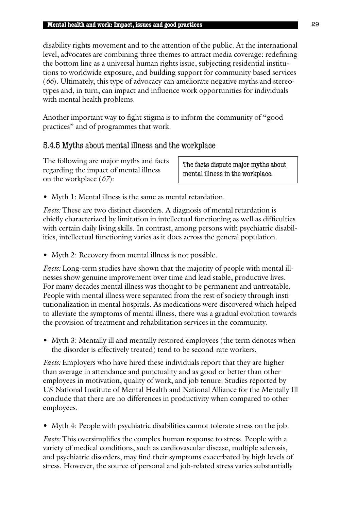disability rights movement and to the attention of the public. At the international level, advocates are combining three themes to attract media coverage: redefining the bottom line as a universal human rights issue, subjecting residential institutions to worldwide exposure, and building support for community based services (*66*). Ultimately, this type of advocacy can ameliorate negative myths and stereotypes and, in turn, can impact and influence work opportunities for individuals with mental health problems.

Another important way to fight stigma is to inform the community of "good practices" and of programmes that work.

## 5.4.5 Myths about mental illness and the workplace

The following are major myths and facts regarding the impact of mental illness on the workplace (*67*):

The facts dispute major myths about mental illness in the workplace.

• Myth 1: Mental illness is the same as mental retardation.

*Facts:* These are two distinct disorders. A diagnosis of mental retardation is chiefly characterized by limitation in intellectual functioning as well as difficulties with certain daily living skills. In contrast, among persons with psychiatric disabilities, intellectual functioning varies as it does across the general population.

• Myth 2: Recovery from mental illness is not possible.

*Facts:* Long-term studies have shown that the majority of people with mental illnesses show genuine improvement over time and lead stable, productive lives. For many decades mental illness was thought to be permanent and untreatable. People with mental illness were separated from the rest of society through institutionalization in mental hospitals. As medications were discovered which helped to alleviate the symptoms of mental illness, there was a gradual evolution towards the provision of treatment and rehabilitation services in the community.

• Myth 3: Mentally ill and mentally restored employees (the term denotes when the disorder is effectively treated) tend to be second-rate workers.

*Facts:* Employers who have hired these individuals report that they are higher than average in attendance and punctuality and as good or better than other employees in motivation, quality of work, and job tenure. Studies reported by US National Institute of Mental Health and National Alliance for the Mentally Ill conclude that there are no differences in productivity when compared to other employees.

• Myth 4: People with psychiatric disabilities cannot tolerate stress on the job.

*Facts:* This oversimplifies the complex human response to stress. People with a variety of medical conditions, such as cardiovascular disease, multiple sclerosis, and psychiatric disorders, may find their symptoms exacerbated by high levels of stress. However, the source of personal and job-related stress varies substantially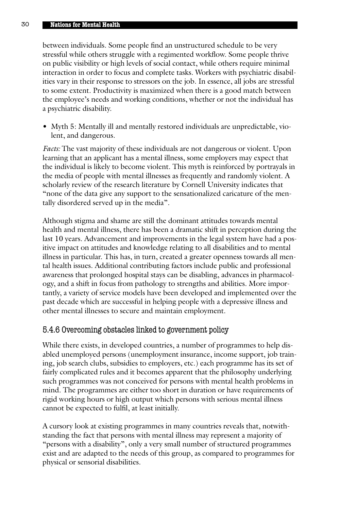between individuals. Some people find an unstructured schedule to be very stressful while others struggle with a regimented workflow. Some people thrive on public visibility or high levels of social contact, while others require minimal interaction in order to focus and complete tasks. Workers with psychiatric disabilities vary in their response to stressors on the job. In essence, all jobs are stressful to some extent. Productivity is maximized when there is a good match between the employee's needs and working conditions, whether or not the individual has a psychiatric disability.

• Myth 5: Mentally ill and mentally restored individuals are unpredictable, violent, and dangerous.

*Facts:* The vast majority of these individuals are not dangerous or violent. Upon learning that an applicant has a mental illness, some employers may expect that the individual is likely to become violent. This myth is reinforced by portrayals in the media of people with mental illnesses as frequently and randomly violent. A scholarly review of the research literature by Cornell University indicates that "none of the data give any support to the sensationalized caricature of the mentally disordered served up in the media".

Although stigma and shame are still the dominant attitudes towards mental health and mental illness, there has been a dramatic shift in perception during the last 10 years. Advancement and improvements in the legal system have had a positive impact on attitudes and knowledge relating to all disabilities and to mental illness in particular. This has, in turn, created a greater openness towards all mental health issues. Additional contributing factors include public and professional awareness that prolonged hospital stays can be disabling, advances in pharmacology, and a shift in focus from pathology to strengths and abilities. More importantly, a variety of service models have been developed and implemented over the past decade which are successful in helping people with a depressive illness and other mental illnesses to secure and maintain employment.

## 5.4.6 Overcoming obstacles linked to government policy

While there exists, in developed countries, a number of programmes to help disabled unemployed persons (unemployment insurance, income support, job training, job search clubs, subsidies to employers, etc.) each programme has its set of fairly complicated rules and it becomes apparent that the philosophy underlying such programmes was not conceived for persons with mental health problems in mind. The programmes are either too short in duration or have requirements of rigid working hours or high output which persons with serious mental illness cannot be expected to fulfil, at least initially.

A cursory look at existing programmes in many countries reveals that, notwithstanding the fact that persons with mental illness may represent a majority of "persons with a disability", only a very small number of structured programmes exist and are adapted to the needs of this group, as compared to programmes for physical or sensorial disabilities.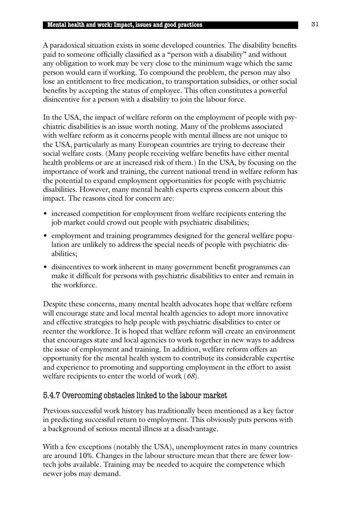A paradoxical situation exists in some developed countries. The disability benefits paid to someone officially classified as a "person with a disability" and without any obligation to work may be very close to the minimum wage which the same person would earn if working. To compound the problem, the person may also lose an entitlement to free medication, to transportation subsidies, or other social benefits by accepting the status of employee. This often constitutes a powerful disincentive for a person with a disability to join the labour force.

In the USA, the impact of welfare reform on the employment of people with psychiatric disabilities is an issue worth noting. Many of the problems associated with welfare reform as it concerns people with mental illness are not unique to the USA, particularly as many European countries are trying to decrease their social welfare costs. (Many people receiving welfare benefits have either mental health problems or are at increased risk of them.) In the USA, by focusing on the importance of work and training, the current national trend in welfare reform has the potential to expand employment opportunities for people with psychiatric disabilities. However, many mental health experts express concern about this impact. The reasons cited for concern are:

- increased competition for employment from welfare recipients entering the job market could crowd out people with psychiatric disabilities;
- employment and training programmes designed for the general welfare population are unlikely to address the special needs of people with psychiatric disabilities;
- disincentives to work inherent in many government benefit programmes can make it difficult for persons with psychiatric disabilities to enter and remain in the workforce.

Despite these concerns, many mental health advocates hope that welfare reform will encourage state and local mental health agencies to adopt more innovative and effective strategies to help people with psychiatric disabilities to enter or reenter the workforce. It is hoped that welfare reform will create an environment that encourages state and local agencies to work together in new ways to address the issue of employment and training. In addition, welfare reform offers an opportunity for the mental health system to contribute its considerable expertise and experience to promoting and supporting employment in the effort to assist welfare recipients to enter the world of work (*68*).

## 5.4.7 Overcoming obstacles linked to the labour market

Previous successful work history has traditionally been mentioned as a key factor in predicting successful return to employment. This obviously puts persons with a background of serious mental illness at a disadvantage.

With a few exceptions (notably the USA), unemployment rates in many countries are around 10%. Changes in the labour structure mean that there are fewer lowtech jobs available. Training may be needed to acquire the competence which newer jobs may demand.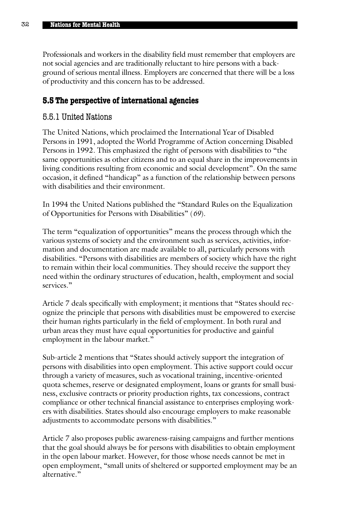Professionals and workers in the disability field must remember that employers are not social agencies and are traditionally reluctant to hire persons with a background of serious mental illness. Employers are concerned that there will be a loss of productivity and this concern has to be addressed.

## **5.5 The perspective of international agencies**

## 5.5.1 United Nations

The United Nations, which proclaimed the International Year of Disabled Persons in 1991, adopted the World Programme of Action concerning Disabled Persons in 1992. This emphasized the right of persons with disabilities to "the same opportunities as other citizens and to an equal share in the improvements in living conditions resulting from economic and social development". On the same occasion, it defined "handicap" as a function of the relationship between persons with disabilities and their environment.

In 1994 the United Nations published the "Standard Rules on the Equalization of Opportunities for Persons with Disabilities" (*69*).

The term "equalization of opportunities" means the process through which the various systems of society and the environment such as services, activities, information and documentation are made available to all, particularly persons with disabilities. "Persons with disabilities are members of society which have the right to remain within their local communities. They should receive the support they need within the ordinary structures of education, health, employment and social services."

Article 7 deals specifically with employment; it mentions that "States should recognize the principle that persons with disabilities must be empowered to exercise their human rights particularly in the field of employment. In both rural and urban areas they must have equal opportunities for productive and gainful employment in the labour market."

Sub-article 2 mentions that "States should actively support the integration of persons with disabilities into open employment. This active support could occur through a variety of measures, such as vocational training, incentive-oriented quota schemes, reserve or designated employment, loans or grants for small business, exclusive contracts or priority production rights, tax concessions, contract compliance or other technical financial assistance to enterprises employing workers with disabilities. States should also encourage employers to make reasonable adjustments to accommodate persons with disabilities."

Article 7 also proposes public awareness-raising campaigns and further mentions that the goal should always be for persons with disabilities to obtain employment in the open labour market. However, for those whose needs cannot be met in open employment, "small units of sheltered or supported employment may be an alternative."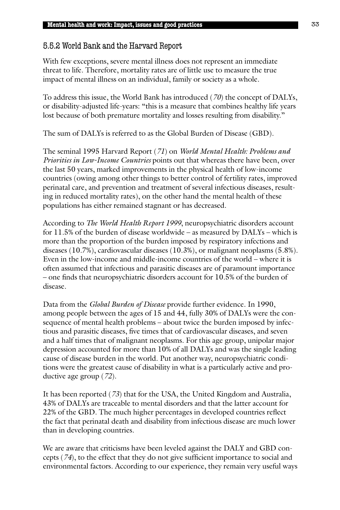# 5.5.2 World Bank and the Harvard Report

With few exceptions, severe mental illness does not represent an immediate threat to life. Therefore, mortality rates are of little use to measure the true impact of mental illness on an individual, family or society as a whole.

To address this issue, the World Bank has introduced (*70*) the concept of DALYs, or disability-adjusted life-years: "this is a measure that combines healthy life years lost because of both premature mortality and losses resulting from disability."

The sum of DALYs is referred to as the Global Burden of Disease (GBD).

The seminal 1995 Harvard Report (*71*) on *World Mental Health: Problems and Priorities in Low-Income Countries* points out that whereas there have been, over the last 50 years, marked improvements in the physical health of low-income countries (owing among other things to better control of fertility rates, improved perinatal care, and prevention and treatment of several infectious diseases, resulting in reduced mortality rates), on the other hand the mental health of these populations has either remained stagnant or has decreased.

According to *The World Health Report 1999*, neuropsychiatric disorders account for 11.5% of the burden of disease worldwide – as measured by DALYs – which is more than the proportion of the burden imposed by respiratory infections and diseases (10.7%), cardiovascular diseases (10.3%), or malignant neoplasms (5.8%). Even in the low-income and middle-income countries of the world – where it is often assumed that infectious and parasitic diseases are of paramount importance – one finds that neuropsychiatric disorders account for 10.5% of the burden of disease.

Data from the *Global Burden of Disease* provide further evidence. In 1990, among people between the ages of 15 and 44, fully 30% of DALYs were the consequence of mental health problems – about twice the burden imposed by infectious and parasitic diseases, five times that of cardiovascular diseases, and seven and a half times that of malignant neoplasms. For this age group, unipolar major depression accounted for more than 10% of all DALYs and was the single leading cause of disease burden in the world. Put another way, neuropsychiatric conditions were the greatest cause of disability in what is a particularly active and productive age group (*72*).

It has been reported (*73*) that for the USA, the United Kingdom and Australia, 43% of DALYs are traceable to mental disorders and that the latter account for 22% of the GBD. The much higher percentages in developed countries reflect the fact that perinatal death and disability from infectious disease are much lower than in developing countries.

We are aware that criticisms have been leveled against the DALY and GBD concepts (*74*), to the effect that they do not give sufficient importance to social and environmental factors. According to our experience, they remain very useful ways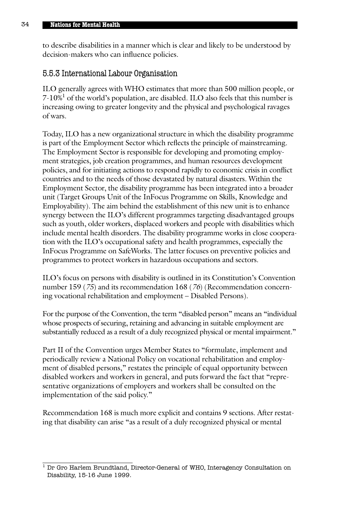to describe disabilities in a manner which is clear and likely to be understood by decision-makers who can influence policies.

## 5.5.3 International Labour Organisation

ILO generally agrees with WHO estimates that more than 500 million people, or 7-10%1 of the world's population, are disabled. ILO also feels that this number is increasing owing to greater longevity and the physical and psychological ravages of wars.

Today, ILO has a new organizational structure in which the disability programme is part of the Employment Sector which reflects the principle of mainstreaming. The Employment Sector is responsible for developing and promoting employment strategies, job creation programmes, and human resources development policies, and for initiating actions to respond rapidly to economic crisis in conflict countries and to the needs of those devastated by natural disasters. Within the Employment Sector, the disability programme has been integrated into a broader unit (Target Groups Unit of the InFocus Programme on Skills, Knowledge and Employability). The aim behind the establishment of this new unit is to enhance synergy between the ILO's different programmes targeting disadvantaged groups such as youth, older workers, displaced workers and people with disabilities which include mental health disorders. The disability programme works in close cooperation with the ILO's occupational safety and health programmes, especially the InFocus Programme on SafeWorks. The latter focuses on preventive policies and programmes to protect workers in hazardous occupations and sectors.

ILO's focus on persons with disability is outlined in its Constitution's Convention number 159 (*75*) and its recommendation 168 (*76*) (Recommendation concerning vocational rehabilitation and employment – Disabled Persons).

For the purpose of the Convention, the term "disabled person" means an "individual whose prospects of securing, retaining and advancing in suitable employment are substantially reduced as a result of a duly recognized physical or mental impairment."

Part II of the Convention urges Member States to "formulate, implement and periodically review a National Policy on vocational rehabilitation and employment of disabled persons," restates the principle of equal opportunity between disabled workers and workers in general, and puts forward the fact that "representative organizations of employers and workers shall be consulted on the implementation of the said policy."

Recommendation 168 is much more explicit and contains 9 sections. After restating that disability can arise "as a result of a duly recognized physical or mental

 $1$  Dr Gro Harlem Brundtland, Director-General of WHO, Interagency Consultation on Disability, 15-16 June 1999.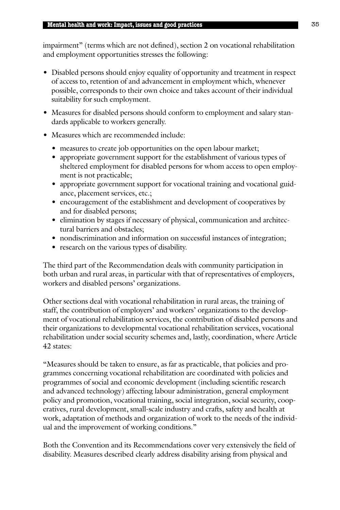impairment" (terms which are not defined), section 2 on vocational rehabilitation and employment opportunities stresses the following:

- Disabled persons should enjoy equality of opportunity and treatment in respect of access to, retention of and advancement in employment which, whenever possible, corresponds to their own choice and takes account of their individual suitability for such employment.
- Measures for disabled persons should conform to employment and salary standards applicable to workers generally.
- Measures which are recommended include:
	- measures to create job opportunities on the open labour market;
	- appropriate government support for the establishment of various types of sheltered employment for disabled persons for whom access to open employment is not practicable;
	- appropriate government support for vocational training and vocational guidance, placement services, etc.;
	- encouragement of the establishment and development of cooperatives by and for disabled persons;
	- elimination by stages if necessary of physical, communication and architectural barriers and obstacles;
	- nondiscrimination and information on successful instances of integration;
	- research on the various types of disability.

The third part of the Recommendation deals with community participation in both urban and rural areas, in particular with that of representatives of employers, workers and disabled persons' organizations.

Other sections deal with vocational rehabilitation in rural areas, the training of staff, the contribution of employers' and workers' organizations to the development of vocational rehabilitation services, the contribution of disabled persons and their organizations to developmental vocational rehabilitation services, vocational rehabilitation under social security schemes and, lastly, coordination, where Article 42 states:

"Measures should be taken to ensure, as far as practicable, that policies and programmes concerning vocational rehabilitation are coordinated with policies and programmes of social and economic development (including scientific research and advanced technology) affecting labour administration, general employment policy and promotion, vocational training, social integration, social security, cooperatives, rural development, small-scale industry and crafts, safety and health at work, adaptation of methods and organization of work to the needs of the individual and the improvement of working conditions."

Both the Convention and its Recommendations cover very extensively the field of disability. Measures described clearly address disability arising from physical and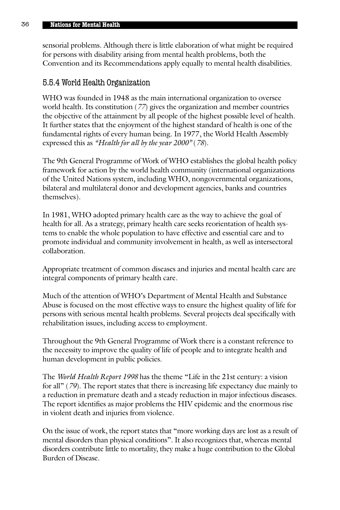sensorial problems. Although there is little elaboration of what might be required for persons with disability arising from mental health problems, both the Convention and its Recommendations apply equally to mental health disabilities.

## 5.5.4 World Health Organization

WHO was founded in 1948 as the main international organization to oversee world health. Its constitution (*77*) gives the organization and member countries the objective of the attainment by all people of the highest possible level of health. It further states that the enjoyment of the highest standard of health is one of the fundamental rights of every human being. In 1977, the World Health Assembly expressed this as *"Health for all by the year 2000"* (*78*).

The 9th General Programme of Work of WHO establishes the global health policy framework for action by the world health community (international organizations of the United Nations system, including WHO, nongovernmental organizations, bilateral and multilateral donor and development agencies, banks and countries themselves).

In 1981, WHO adopted primary health care as the way to achieve the goal of health for all. As a strategy, primary health care seeks reorientation of health systems to enable the whole population to have effective and essential care and to promote individual and community involvement in health, as well as intersectoral collaboration.

Appropriate treatment of common diseases and injuries and mental health care are integral components of primary health care.

Much of the attention of WHO's Department of Mental Health and Substance Abuse is focused on the most effective ways to ensure the highest quality of life for persons with serious mental health problems. Several projects deal specifically with rehabilitation issues, including access to employment.

Throughout the 9th General Programme of Work there is a constant reference to the necessity to improve the quality of life of people and to integrate health and human development in public policies.

The *World Health Report 1998* has the theme "Life in the 21st century: a vision for all" (*79*). The report states that there is increasing life expectancy due mainly to a reduction in premature death and a steady reduction in major infectious diseases. The report identifies as major problems the HIV epidemic and the enormous rise in violent death and injuries from violence.

On the issue of work, the report states that "more working days are lost as a result of mental disorders than physical conditions". It also recognizes that, whereas mental disorders contribute little to mortality, they make a huge contribution to the Global Burden of Disease.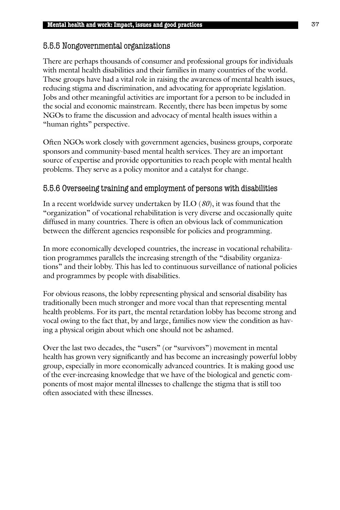# 5.5.5 Nongovernmental organizations

There are perhaps thousands of consumer and professional groups for individuals with mental health disabilities and their families in many countries of the world. These groups have had a vital role in raising the awareness of mental health issues, reducing stigma and discrimination, and advocating for appropriate legislation. Jobs and other meaningful activities are important for a person to be included in the social and economic mainstream. Recently, there has been impetus by some NGOs to frame the discussion and advocacy of mental health issues within a "human rights" perspective.

Often NGOs work closely with government agencies, business groups, corporate sponsors and community-based mental health services. They are an important source of expertise and provide opportunities to reach people with mental health problems. They serve as a policy monitor and a catalyst for change.

## 5.5.6 Overseeing training and employment of persons with disabilities

In a recent worldwide survey undertaken by ILO (*80*), it was found that the "organization" of vocational rehabilitation is very diverse and occasionally quite diffused in many countries. There is often an obvious lack of communication between the different agencies responsible for policies and programming.

In more economically developed countries, the increase in vocational rehabilitation programmes parallels the increasing strength of the "disability organizations" and their lobby. This has led to continuous surveillance of national policies and programmes by people with disabilities.

For obvious reasons, the lobby representing physical and sensorial disability has traditionally been much stronger and more vocal than that representing mental health problems. For its part, the mental retardation lobby has become strong and vocal owing to the fact that, by and large, families now view the condition as having a physical origin about which one should not be ashamed.

Over the last two decades, the "users" (or "survivors") movement in mental health has grown very significantly and has become an increasingly powerful lobby group, especially in more economically advanced countries. It is making good use of the ever-increasing knowledge that we have of the biological and genetic components of most major mental illnesses to challenge the stigma that is still too often associated with these illnesses.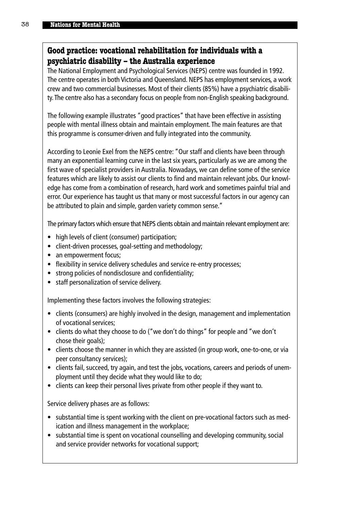## **Good practice: vocational rehabilitation for individuals with a psychiatric disability – the Australia experience**

The National Employment and Psychological Services (NEPS) centre was founded in 1992. The centre operates in both Victoria and Queensland. NEPS has employment services, a work crew and two commercial businesses. Most of their clients (85%) have a psychiatric disability.The centre also has a secondary focus on people from non-English speaking background.

The following example illustrates "good practices" that have been effective in assisting people with mental illness obtain and maintain employment. The main features are that this programme is consumer-driven and fully integrated into the community.

According to Leonie Exel from the NEPS centre: "Our staff and clients have been through many an exponential learning curve in the last six years, particularly as we are among the first wave of specialist providers in Australia. Nowadays, we can define some of the service features which are likely to assist our clients to find and maintain relevant jobs. Our knowledge has come from a combination of research, hard work and sometimes painful trial and error. Our experience has taught us that many or most successful factors in our agency can be attributed to plain and simple, garden variety common sense."

The primary factors which ensure that NEPS clients obtain and maintain relevant employment are:

- high levels of client (consumer) participation;
- client-driven processes, goal-setting and methodology;
- an empowerment focus:
- flexibility in service delivery schedules and service re-entry processes;
- strong policies of nondisclosure and confidentiality;
- staff personalization of service delivery.

Implementing these factors involves the following strategies:

- clients (consumers) are highly involved in the design, management and implementation of vocational services;
- clients do what they choose to do ("we don't do things" for people and "we don't chose their goals);
- clients choose the manner in which they are assisted (in group work, one-to-one, or via peer consultancy services);
- clients fail, succeed, try again, and test the jobs, vocations, careers and periods of unemployment until they decide what they would like to do;
- clients can keep their personal lives private from other people if they want to.

Service delivery phases are as follows:

- substantial time is spent working with the client on pre-vocational factors such as medication and illness management in the workplace;
- substantial time is spent on vocational counselling and developing community, social and service provider networks for vocational support;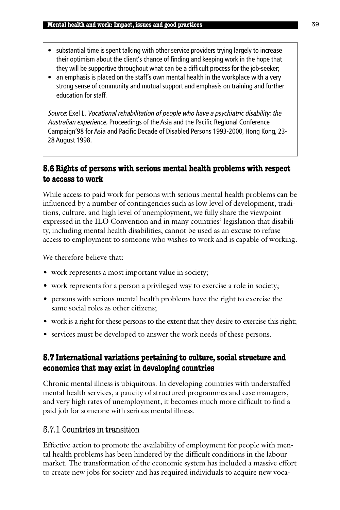- substantial time is spent talking with other service providers trying largely to increase their optimism about the client's chance of finding and keeping work in the hope that they will be supportive throughout what can be a difficult process for the job-seeker;
- an emphasis is placed on the staff's own mental health in the workplace with a very strong sense of community and mutual support and emphasis on training and further education for staff.

Source: Exel L. Vocational rehabilitation of people who have a psychiatric disability: the Australian experience. Proceedings of the Asia and the Pacific Regional Conference Campaign'98 for Asia and Pacific Decade of Disabled Persons 1993-2000, Hong Kong, 23- 28 August 1998.

## **5.6 Rights of persons with serious mental health problems with respect to access to work**

While access to paid work for persons with serious mental health problems can be influenced by a number of contingencies such as low level of development, traditions, culture, and high level of unemployment, we fully share the viewpoint expressed in the ILO Convention and in many countries' legislation that disability, including mental health disabilities, cannot be used as an excuse to refuse access to employment to someone who wishes to work and is capable of working.

We therefore believe that:

- work represents a most important value in society;
- work represents for a person a privileged way to exercise a role in society;
- persons with serious mental health problems have the right to exercise the same social roles as other citizens;
- work is a right for these persons to the extent that they desire to exercise this right;
- services must be developed to answer the work needs of these persons.

## **5.7 International variations pertaining to culture, social structure and economics that may exist in developing countries**

Chronic mental illness is ubiquitous. In developing countries with understaffed mental health services, a paucity of structured programmes and case managers, and very high rates of unemployment, it becomes much more difficult to find a paid job for someone with serious mental illness.

## 5.7.1 Countries in transition

Effective action to promote the availability of employment for people with mental health problems has been hindered by the difficult conditions in the labour market. The transformation of the economic system has included a massive effort to create new jobs for society and has required individuals to acquire new voca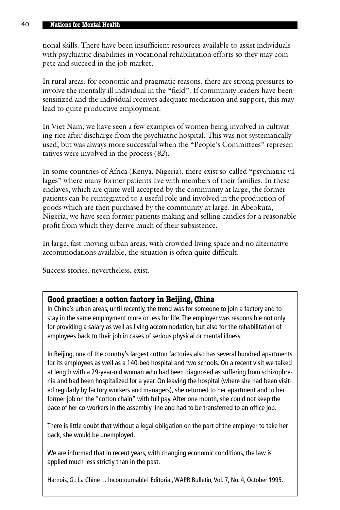tional skills. There have been insufficient resources available to assist individuals with psychiatric disabilities in vocational rehabilitation efforts so they may compete and succeed in the job market.

In rural areas, for economic and pragmatic reasons, there are strong pressures to involve the mentally ill individual in the "field". If community leaders have been sensitized and the individual receives adequate medication and support, this may lead to quite productive employment.

In Viet Nam, we have seen a few examples of women being involved in cultivating rice after discharge from the psychiatric hospital. This was not systematically used, but was always more successful when the "People's Committees" representatives were involved in the process (*82*).

In some countries of Africa (Kenya, Nigeria), there exist so-called "psychiatric villages" where many former patients live with members of their families. In these enclaves, which are quite well accepted by the community at large, the former patients can be reintegrated to a useful role and involved in the production of goods which are then purchased by the community at large. In Abeokuta, Nigeria, we have seen former patients making and selling candles for a reasonable profit from which they derive much of their subsistence.

In large, fast-moving urban areas, with crowded living space and no alternative accommodations available, the situation is often quite difficult.

Success stories, nevertheless, exist.

### **Good practice: a cotton factory in Beijing, China**

In China's urban areas, until recently, the trend was for someone to join a factory and to stay in the same employment more or less for life. The employer was responsible not only for providing a salary as well as living accommodation, but also for the rehabilitation of employees back to their job in cases of serious physical or mental illness.

In Beijing, one of the country's largest cotton factories also has several hundred apartments for its employees as well as a 140-bed hospital and two schools. On a recent visit we talked at length with a 29-year-old woman who had been diagnosed as suffering from schizophrenia and had been hospitalized for a year. On leaving the hospital (where she had been visited regularly by factory workers and managers), she returned to her apartment and to her former job on the "cotton chain" with full pay. After one month, she could not keep the pace of her co-workers in the assembly line and had to be transferred to an office job.

There is little doubt that without a legal obligation on the part of the employer to take her back, she would be unemployed.

We are informed that in recent years, with changing economic conditions, the law is applied much less strictly than in the past.

Harnois, G.: La Chine… Incoutournable! Editorial, WAPR Bulletin, Vol. 7, No. 4, October 1995.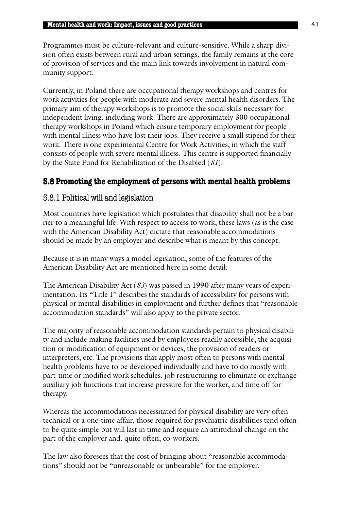Programmes must be culture-relevant and culture-sensitive. While a sharp division often exists between rural and urban settings, the family remains at the core of provision of services and the main link towards involvement in natural community support.

Currently, in Poland there are occupational therapy workshops and centres for work activities for people with moderate and severe mental health disorders. The primary aim of therapy workshops is to promote the social skills necessary for independent living, including work. There are approximately 300 occupational therapy workshops in Poland which ensure temporary employment for people with mental illness who have lost their jobs. They receive a small stipend for their work. There is one experimental Centre for Work Activities, in which the staff consists of people with severe mental illness. This centre is supported financially by the State Fund for Rehabilitation of the Disabled (*81*).

# **5.8 Promoting the employment of persons with mental health problems**

# 5.8.1 Political will and legislation

Most countries have legislation which postulates that disability shall not be a barrier to a meaningful life. With respect to access to work, these laws (as is the case with the American Disability Act) dictate that reasonable accommodations should be made by an employer and describe what is meant by this concept.

Because it is in many ways a model legislation, some of the features of the American Disability Act are mentioned here in some detail.

The American Disability Act (*83*) was passed in 1990 after many years of experimentation. Its "Title I" describes the standards of accessibility for persons with physical or mental disabilities in employment and further defines that "reasonable accommodation standards" will also apply to the private sector.

The majority of reasonable accommodation standards pertain to physical disability and include making facilities used by employees readily accessible, the acquisition or modification of equipment or devices, the provision of readers or interpreters, etc. The provisions that apply most often to persons with mental health problems have to be developed individually and have to do mostly with part-time or modified work schedules, job restructuring to eliminate or exchange auxiliary job functions that increase pressure for the worker, and time off for therapy.

Whereas the accommodations necessitated for physical disability are very often technical or a one-time affair, those required for psychiatric disabilities tend often to be quite simple but will last in time and require an attitudinal change on the part of the employer and, quite often, co-workers.

The law also foresees that the cost of bringing about "reasonable accommodations" should not be "unreasonable or unbearable" for the employer.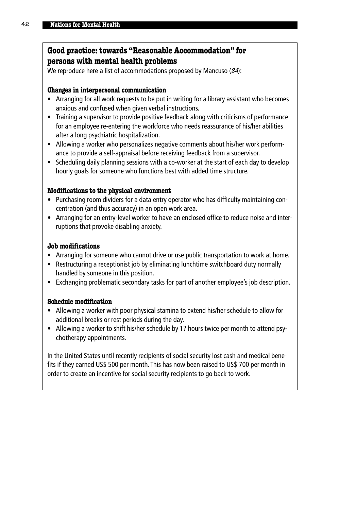## **Good practice: towards "Reasonable Accommodation" for persons with mental health problems**

We reproduce here a list of accommodations proposed by Mancuso (84):

#### **Changes in interpersonal communication**

- Arranging for all work requests to be put in writing for a library assistant who becomes anxious and confused when given verbal instructions.
- Training a supervisor to provide positive feedback along with criticisms of performance for an employee re-entering the workforce who needs reassurance of his/her abilities after a long psychiatric hospitalization.
- Allowing a worker who personalizes negative comments about his/her work performance to provide a self-appraisal before receiving feedback from a supervisor.
- Scheduling daily planning sessions with a co-worker at the start of each day to develop hourly goals for someone who functions best with added time structure.

### **Modifications to the physical environment**

- Purchasing room dividers for a data entry operator who has difficulty maintaining concentration (and thus accuracy) in an open work area.
- Arranging for an entry-level worker to have an enclosed office to reduce noise and interruptions that provoke disabling anxiety.

#### **Job modifications**

- Arranging for someone who cannot drive or use public transportation to work at home.
- Restructuring a receptionist job by eliminating lunchtime switchboard duty normally handled by someone in this position.
- Exchanging problematic secondary tasks for part of another employee's job description.

### **Schedule modification**

- Allowing a worker with poor physical stamina to extend his/her schedule to allow for additional breaks or rest periods during the day.
- Allowing a worker to shift his/her schedule by 1? hours twice per month to attend psychotherapy appointments.

In the United States until recently recipients of social security lost cash and medical benefits if they earned US\$ 500 per month. This has now been raised to US\$ 700 per month in order to create an incentive for social security recipients to go back to work.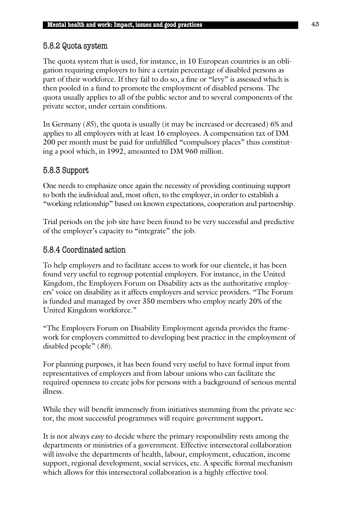# 5.8.2 Quota system

The quota system that is used, for instance, in 10 European countries is an obligation requiring employers to hire a certain percentage of disabled persons as part of their workforce. If they fail to do so, a fine or "levy" is assessed which is then pooled in a fund to promote the employment of disabled persons. The quota usually applies to all of the public sector and to several components of the private sector, under certain conditions.

In Germany (*85*), the quota is usually (it may be increased or decreased) 6% and applies to all employers with at least 16 employees. A compensation tax of DM 200 per month must be paid for unfulfilled "compulsory places" thus constituting a pool which, in 1992, amounted to DM 960 million.

## 5.8.3 Support

One needs to emphasize once again the necessity of providing continuing support to both the individual and, most often, to the employer, in order to establish a "working relationship" based on known expectations, cooperation and partnership.

Trial periods on the job site have been found to be very successful and predictive of the employer's capacity to "integrate" the job.

## 5.8.4 Coordinated action

To help employers and to facilitate access to work for our clientele, it has been found very useful to regroup potential employers. For instance, in the United Kingdom, the Employers Forum on Disability acts as the authoritative employers' voice on disability as it affects employers and service providers. "The Forum is funded and managed by over 350 members who employ nearly 20% of the United Kingdom workforce."

"The Employers Forum on Disability Employment agenda provides the framework for employers committed to developing best practice in the employment of disabled people" (*86*).

For planning purposes, it has been found very useful to have formal input from representatives of employers and from labour unions who can facilitate the required openness to create jobs for persons with a background of serious mental illness.

While they will benefit immensely from initiatives stemming from the private sector, the most successful programmes will require government support**.**

It is not always easy to decide where the primary responsibility rests among the departments or ministries of a government. Effective intersectoral collaboration will involve the departments of health, labour, employment, education, income support, regional development, social services, etc. A specific formal mechanism which allows for this intersectoral collaboration is a highly effective tool.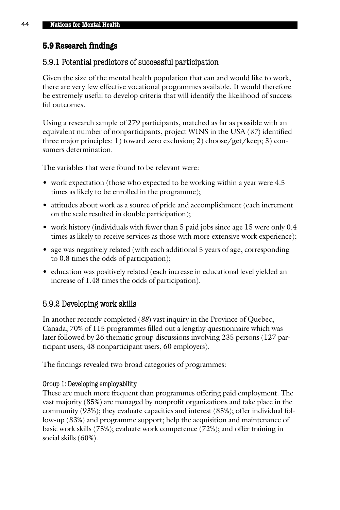## **5.9 Research findings**

## 5.9.1 Potential predictors of successful participation

Given the size of the mental health population that can and would like to work, there are very few effective vocational programmes available. It would therefore be extremely useful to develop criteria that will identify the likelihood of successful outcomes.

Using a research sample of 279 participants, matched as far as possible with an equivalent number of nonparticipants, project WINS in the USA (*87*) identified three major principles: 1) toward zero exclusion; 2) choose/get/keep; 3) consumers determination.

The variables that were found to be relevant were:

- work expectation (those who expected to be working within a year were 4.5 times as likely to be enrolled in the programme);
- attitudes about work as a source of pride and accomplishment (each increment on the scale resulted in double participation);
- work history (individuals with fewer than 5 paid jobs since age 15 were only 0.4 times as likely to receive services as those with more extensive work experience);
- age was negatively related (with each additional 5 years of age, corresponding to 0.8 times the odds of participation);
- education was positively related (each increase in educational level yielded an increase of 1.48 times the odds of participation).

# 5.9.2 Developing work skills

In another recently completed (*88*) vast inquiry in the Province of Quebec, Canada, 70% of 115 programmes filled out a lengthy questionnaire which was later followed by 26 thematic group discussions involving 235 persons (127 participant users, 48 nonparticipant users, 60 employers).

The findings revealed two broad categories of programmes:

## Group 1: Developing employability

These are much more frequent than programmes offering paid employment. The vast majority (85%) are managed by nonprofit organizations and take place in the community (93%); they evaluate capacities and interest (85%); offer individual follow-up (83%) and programme support; help the acquisition and maintenance of basic work skills (75%); evaluate work competence (72%); and offer training in social skills (60%).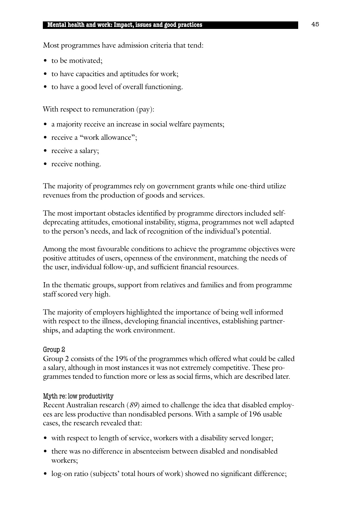Most programmes have admission criteria that tend:

- to be motivated;
- to have capacities and aptitudes for work;
- to have a good level of overall functioning.

With respect to remuneration (pay):

- a majority receive an increase in social welfare payments;
- receive a "work allowance";
- receive a salary;
- receive nothing.

The majority of programmes rely on government grants while one-third utilize revenues from the production of goods and services.

The most important obstacles identified by programme directors included selfdeprecating attitudes, emotional instability, stigma, programmes not well adapted to the person's needs, and lack of recognition of the individual's potential.

Among the most favourable conditions to achieve the programme objectives were positive attitudes of users, openness of the environment, matching the needs of the user, individual follow-up, and sufficient financial resources.

In the thematic groups, support from relatives and families and from programme staff scored very high.

The majority of employers highlighted the importance of being well informed with respect to the illness, developing financial incentives, establishing partnerships, and adapting the work environment.

### Group 2

Group 2 consists of the 19% of the programmes which offered what could be called a salary, although in most instances it was not extremely competitive. These programmes tended to function more or less as social firms, which are described later.

### Myth re: low productivity

Recent Australian research (*89*) aimed to challenge the idea that disabled employees are less productive than nondisabled persons. With a sample of 196 usable cases, the research revealed that:

- with respect to length of service, workers with a disability served longer;
- there was no difference in absenteeism between disabled and nondisabled workers;
- log-on ratio (subjects' total hours of work) showed no significant difference;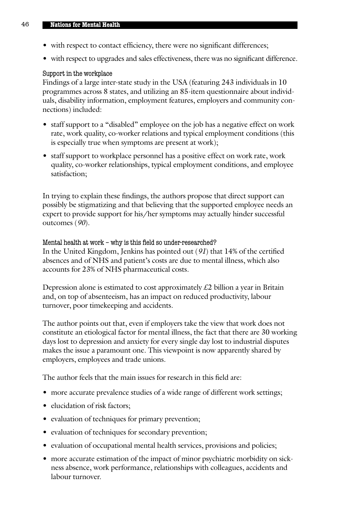- with respect to contact efficiency, there were no significant differences;
- with respect to upgrades and sales effectiveness, there was no significant difference.

### Support in the workplace

Findings of a large inter-state study in the USA (featuring 243 individuals in 10 programmes across 8 states, and utilizing an 85-item questionnaire about individuals, disability information, employment features, employers and community connections) included:

- staff support to a "disabled" employee on the job has a negative effect on work rate, work quality, co-worker relations and typical employment conditions (this is especially true when symptoms are present at work);
- staff support to workplace personnel has a positive effect on work rate, work quality, co-worker relationships, typical employment conditions, and employee satisfaction;

In trying to explain these findings, the authors propose that direct support can possibly be stigmatizing and that believing that the supported employee needs an expert to provide support for his/her symptoms may actually hinder successful outcomes (*90*).

### Mental health at work – why is this field so under-researched?

In the United Kingdom, Jenkins has pointed out (*91*) that 14% of the certified absences and of NHS and patient's costs are due to mental illness, which also accounts for 23% of NHS pharmaceutical costs.

Depression alone is estimated to cost approximately £2 billion a year in Britain and, on top of absenteeism, has an impact on reduced productivity, labour turnover, poor timekeeping and accidents.

The author points out that, even if employers take the view that work does not constitute an etiological factor for mental illness, the fact that there are 30 working days lost to depression and anxiety for every single day lost to industrial disputes makes the issue a paramount one. This viewpoint is now apparently shared by employers, employees and trade unions.

The author feels that the main issues for research in this field are:

- more accurate prevalence studies of a wide range of different work settings;
- elucidation of risk factors;
- evaluation of techniques for primary prevention;
- evaluation of techniques for secondary prevention;
- evaluation of occupational mental health services, provisions and policies;
- more accurate estimation of the impact of minor psychiatric morbidity on sickness absence, work performance, relationships with colleagues, accidents and labour turnover.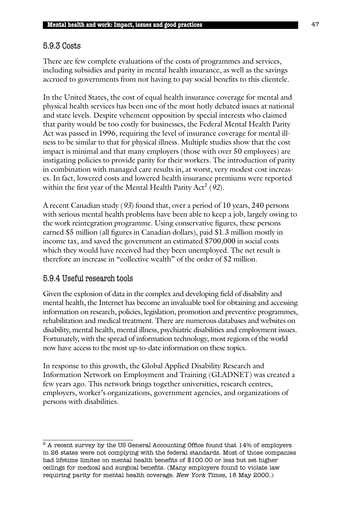## 5.9.3 Costs

There are few complete evaluations of the costs of programmes and services, including subsidies and parity in mental health insurance, as well as the savings accrued to governments from not having to pay social benefits to this clientele.

In the United States, the cost of equal health insurance coverage for mental and physical health services has been one of the most hotly debated issues at national and state levels. Despite vehement opposition by special interests who claimed that parity would be too costly for businesses, the Federal Mental Health Parity Act was passed in 1996, requiring the level of insurance coverage for mental illness to be similar to that for physical illness. Multiple studies show that the cost impact is minimal and that many employers (those with over 50 employees) are instigating policies to provide parity for their workers. The introduction of parity in combination with managed care results in, at worst, very modest cost increases. In fact, lowered costs and lowered health insurance premiums were reported within the first year of the Mental Health Parity Act<sup>2</sup> (92).

A recent Canadian study (*93*) found that, over a period of 10 years, 240 persons with serious mental health problems have been able to keep a job, largely owing to the work reintegration programme. Using conservative figures, these persons earned \$5 million (all figures in Canadian dollars), paid \$1.3 million mostly in income tax, and saved the government an estimated \$700,000 in social costs which they would have received had they been unemployed. The net result is therefore an increase in "collective wealth" of the order of \$2 million.

# 5.9.4 Useful research tools

Given the explosion of data in the complex and developing field of disability and mental health, the Internet has become an invaluable tool for obtaining and accessing information on research, policies, legislation, promotion and preventive programmes, rehabilitation and medical treatment. There are numerous databases and websites on disability, mental health, mental illness, psychiatric disabilities and employment issues. Fortunately, with the spread of information technology, most regions of the world now have access to the most up-to-date information on these topics.

In response to this growth, the Global Applied Disability Research and Information Network on Employment and Training (GLADNET) was created a few years ago. This network brings together universities, research centres, employers, worker's organizations, government agencies, and organizations of persons with disabilities.

 $^2$  A recent survey by the US General Accounting Office found that  $14\%$  of employers in 26 states were not complying with the federal standards. Most of those companies had lifetime limites on mental health benefits of \$100.00 or less but set higher ceilings for medical and surgical benefits. (Many employers found to violate law requiring parity for mental health coverage. New York Times, 18 May 2000.)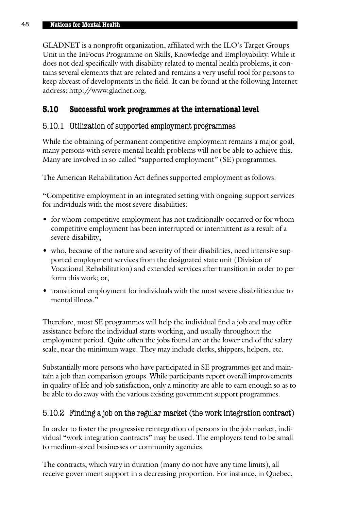GLADNET is a nonprofit organization, affiliated with the ILO's Target Groups Unit in the InFocus Programme on Skills, Knowledge and Employability. While it does not deal specifically with disability related to mental health problems, it contains several elements that are related and remains a very useful tool for persons to keep abreast of developments in the field. It can be found at the following Internet address: http://www.gladnet.org.

# **5.10 Successful work programmes at the international level**

## 5.10.1 Utilization of supported employment programmes

While the obtaining of permanent competitive employment remains a major goal, many persons with severe mental health problems will not be able to achieve this. Many are involved in so-called "supported employment" (SE) programmes.

The American Rehabilitation Act defines supported employment as follows:

"Competitive employment in an integrated setting with ongoing-support services for individuals with the most severe disabilities:

- for whom competitive employment has not traditionally occurred or for whom competitive employment has been interrupted or intermittent as a result of a severe disability;
- who, because of the nature and severity of their disabilities, need intensive supported employment services from the designated state unit (Division of Vocational Rehabilitation) and extended services after transition in order to perform this work; or,
- transitional employment for individuals with the most severe disabilities due to mental illness."

Therefore, most SE programmes will help the individual find a job and may offer assistance before the individual starts working, and usually throughout the employment period. Quite often the jobs found are at the lower end of the salary scale, near the minimum wage. They may include clerks, shippers, helpers, etc.

Substantially more persons who have participated in SE programmes get and maintain a job than comparison groups. While participants report overall improvements in quality of life and job satisfaction, only a minority are able to earn enough so as to be able to do away with the various existing government support programmes.

# 5.10.2 Finding a job on the regular market (the work integration contract)

In order to foster the progressive reintegration of persons in the job market, individual "work integration contracts" may be used. The employers tend to be small to medium-sized businesses or community agencies.

The contracts, which vary in duration (many do not have any time limits), all receive government support in a decreasing proportion. For instance, in Quebec,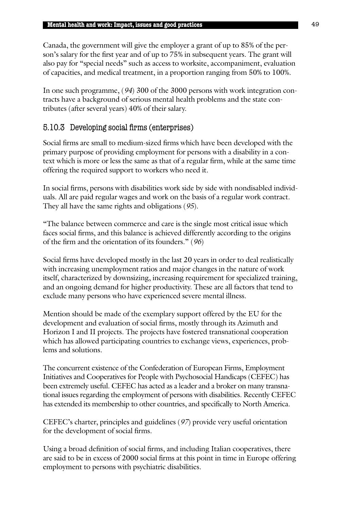Canada, the government will give the employer a grant of up to 85% of the person's salary for the first year and of up to 75% in subsequent years. The grant will also pay for "special needs" such as access to worksite, accompaniment, evaluation of capacities, and medical treatment, in a proportion ranging from 50% to 100%.

In one such programme, (*94*) 300 of the 3000 persons with work integration contracts have a background of serious mental health problems and the state contributes (after several years) 40% of their salary.

# 5.10.3 Developing social firms (enterprises)

Social firms are small to medium-sized firms which have been developed with the primary purpose of providing employment for persons with a disability in a context which is more or less the same as that of a regular firm, while at the same time offering the required support to workers who need it.

In social firms, persons with disabilities work side by side with nondisabled individuals. All are paid regular wages and work on the basis of a regular work contract. They all have the same rights and obligations (*95*).

"The balance between commerce and care is the single most critical issue which faces social firms, and this balance is achieved differently according to the origins of the firm and the orientation of its founders." (*96*)

Social firms have developed mostly in the last 20 years in order to deal realistically with increasing unemployment ratios and major changes in the nature of work itself, characterized by downsizing, increasing requirement for specialized training, and an ongoing demand for higher productivity. These are all factors that tend to exclude many persons who have experienced severe mental illness.

Mention should be made of the exemplary support offered by the EU for the development and evaluation of social firms, mostly through its Azimuth and Horizon I and II projects. The projects have fostered transnational cooperation which has allowed participating countries to exchange views, experiences, problems and solutions.

The concurrent existence of the Confederation of European Firms, Employment Initiatives and Cooperatives for People with Psychosocial Handicaps (CEFEC) has been extremely useful. CEFEC has acted as a leader and a broker on many transnational issues regarding the employment of persons with disabilities. Recently CEFEC has extended its membership to other countries, and specifically to North America.

CEFEC's charter, principles and guidelines (*97*) provide very useful orientation for the development of social firms.

Using a broad definition of social firms, and including Italian cooperatives, there are said to be in excess of 2000 social firms at this point in time in Europe offering employment to persons with psychiatric disabilities.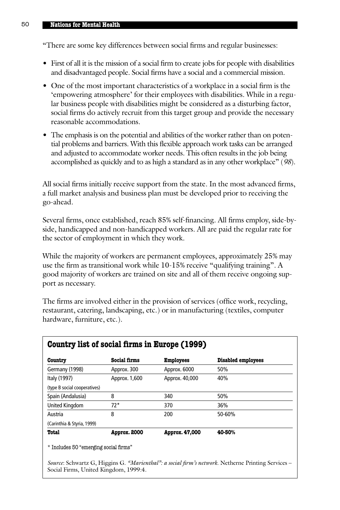"There are some key differences between social firms and regular businesses:

- First of all it is the mission of a social firm to create jobs for people with disabilities and disadvantaged people. Social firms have a social and a commercial mission.
- One of the most important characteristics of a workplace in a social firm is the 'empowering atmosphere' for their employees with disabilities. While in a regular business people with disabilities might be considered as a disturbing factor, social firms do actively recruit from this target group and provide the necessary reasonable accommodations.
- The emphasis is on the potential and abilities of the worker rather than on potential problems and barriers. With this flexible approach work tasks can be arranged and adjusted to accommodate worker needs. This often results in the job being accomplished as quickly and to as high a standard as in any other workplace" (*98*).

All social firms initially receive support from the state. In the most advanced firms, a full market analysis and business plan must be developed prior to receiving the go-ahead.

Several firms, once established, reach 85% self-financing. All firms employ, side-byside, handicapped and non-handicapped workers. All are paid the regular rate for the sector of employment in which they work.

While the majority of workers are permanent employees, approximately 25% may use the firm as transitional work while 10-15% receive "qualifying training". A good majority of workers are trained on site and all of them receive ongoing support as necessary.

The firms are involved either in the provision of services (office work, recycling, restaurant, catering, landscaping, etc.) or in manufacturing (textiles, computer hardware, furniture, etc.).

| Country list of social firms in Europe (1999) |                     |                  |                           |
|-----------------------------------------------|---------------------|------------------|---------------------------|
| Country                                       | Social firms        | <b>Employees</b> | <b>Disabled employees</b> |
| Germany (1998)                                | Approx. 300         | Approx. 6000     | 50%                       |
| Italy (1997)                                  | Approx. 1,600       | Approx. 40,000   | 40%                       |
| (type B social cooperatives)                  |                     |                  |                           |
| Spain (Andalusia)                             | 8                   | 340              | 50%                       |
| <b>United Kingdom</b>                         | $72*$               | 370              | 36%                       |
| Austria                                       | 8                   | 200              | 50-60%                    |
| (Carinthia & Styria, 1999)                    |                     |                  |                           |
| <b>Total</b>                                  | <b>Approx. 2000</b> | Approx. 47,000   | 40-50%                    |

\* Includes 50 "emerging social firms"

*Source*: Schwartz G, Higgins G. *"Marienthal": a social firm's network*. Netherne Printing Services – Social Firms, United Kingdom, 1999:4.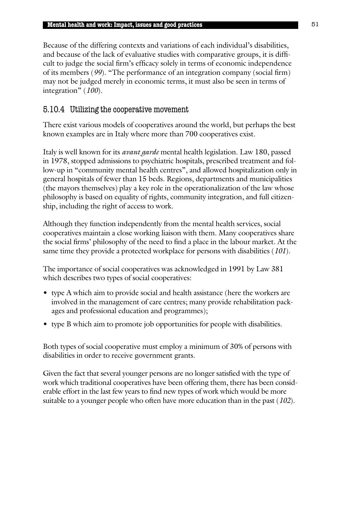Because of the differing contexts and variations of each individual's disabilities, and because of the lack of evaluative studies with comparative groups, it is difficult to judge the social firm's efficacy solely in terms of economic independence of its members (*99*). "The performance of an integration company (social firm) may not be judged merely in economic terms, it must also be seen in terms of integration" (*100*).

# 5.10.4 Utilizing the cooperative movement

There exist various models of cooperatives around the world, but perhaps the best known examples are in Italy where more than 700 cooperatives exist.

Italy is well known for its *avant garde* mental health legislation. Law 180, passed in 1978, stopped admissions to psychiatric hospitals, prescribed treatment and follow-up in "community mental health centres", and allowed hospitalization only in general hospitals of fewer than 15 beds. Regions, departments and municipalities (the mayors themselves) play a key role in the operationalization of the law whose philosophy is based on equality of rights, community integration, and full citizenship, including the right of access to work.

Although they function independently from the mental health services, social cooperatives maintain a close working liaison with them. Many cooperatives share the social firms' philosophy of the need to find a place in the labour market. At the same time they provide a protected workplace for persons with disabilities (*101*).

The importance of social cooperatives was acknowledged in 1991 by Law 381 which describes two types of social cooperatives:

- type A which aim to provide social and health assistance (here the workers are involved in the management of care centres; many provide rehabilitation packages and professional education and programmes);
- type B which aim to promote job opportunities for people with disabilities.

Both types of social cooperative must employ a minimum of 30% of persons with disabilities in order to receive government grants.

Given the fact that several younger persons are no longer satisfied with the type of work which traditional cooperatives have been offering them, there has been considerable effort in the last few years to find new types of work which would be more suitable to a younger people who often have more education than in the past (*102*).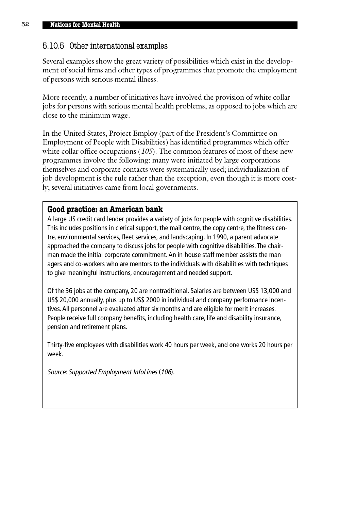# 5.10.5 Other international examples

Several examples show the great variety of possibilities which exist in the development of social firms and other types of programmes that promote the employment of persons with serious mental illness.

More recently, a number of initiatives have involved the provision of white collar jobs for persons with serious mental health problems, as opposed to jobs which are close to the minimum wage.

In the United States, Project Employ (part of the President's Committee on Employment of People with Disabilities) has identified programmes which offer white collar office occupations (*105*). The common features of most of these new programmes involve the following: many were initiated by large corporations themselves and corporate contacts were systematically used; individualization of job development is the rule rather than the exception, even though it is more costly; several initiatives came from local governments.

## **Good practice: an American bank**

A large US credit card lender provides a variety of jobs for people with cognitive disabilities. This includes positions in clerical support, the mail centre, the copy centre, the fitness centre, environmental services, fleet services, and landscaping. In 1990, a parent advocate approached the company to discuss jobs for people with cognitive disabilities. The chairman made the initial corporate commitment. An in-house staff member assists the managers and co-workers who are mentors to the individuals with disabilities with techniques to give meaningful instructions, encouragement and needed support.

Of the 36 jobs at the company, 20 are nontraditional. Salaries are between US\$ 13,000 and US\$ 20,000 annually, plus up to US\$ 2000 in individual and company performance incentives. All personnel are evaluated after six months and are eligible for merit increases. People receive full company benefits, including health care, life and disability insurance, pension and retirement plans.

Thirty-five employees with disabilities work 40 hours per week, and one works 20 hours per week.

Source: Supported Employment InfoLines (106).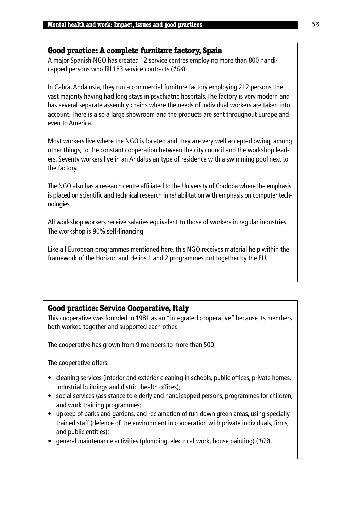## **Good practice: A complete furniture factory, Spain**

A major Spanish NGO has created 12 service centres employing more than 800 handicapped persons who fill 183 service contracts (104).

In Cabra, Andalusia, they run a commercial furniture factory employing 212 persons, the vast majority having had long stays in psychiatric hospitals. The factory is very modern and has several separate assembly chains where the needs of individual workers are taken into account. There is also a large showroom and the products are sent throughout Europe and even to America.

Most workers live where the NGO is located and they are very well accepted owing, among other things, to the constant cooperation between the city council and the workshop leaders. Seventy workers live in an Andalusian type of residence with a swimming pool next to the factory.

The NGO also has a research centre affiliated to the University of Cordoba where the emphasis is placed on scientific and technical research in rehabilitation with emphasis on computer technologies.

All workshop workers receive salaries equivalent to those of workers in regular industries. The workshop is 90% self-financing.

Like all European programmes mentioned here, this NGO receives material help within the framework of the Horizon and Helios 1 and 2 programmes put together by the EU.

# **Good practice: Service Cooperative, Italy**

This cooperative was founded in 1981 as an "integrated cooperative" because its members both worked together and supported each other.

The cooperative has grown from 9 members to more than 500.

The cooperative offers:

- cleaning services (interior and exterior cleaning in schools, public offices, private homes, industrial buildings and district health offices);
- social services (assistance to elderly and handicapped persons, programmes for children, and work training programmes;
- upkeep of parks and gardens, and reclamation of run-down green areas, using specially trained staff (defence of the environment in cooperation with private individuals, firms, and public entities);
- general maintenance activities (plumbing, electrical work, house painting) (103).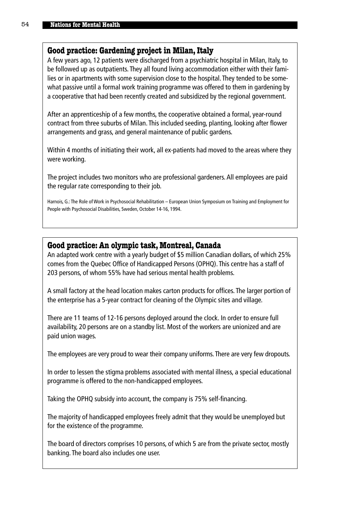## **Good practice: Gardening project in Milan, Italy**

A few years ago, 12 patients were discharged from a psychiatric hospital in Milan, Italy, to be followed up as outpatients. They all found living accommodation either with their families or in apartments with some supervision close to the hospital. They tended to be somewhat passive until a formal work training programme was offered to them in gardening by a cooperative that had been recently created and subsidized by the regional government.

After an apprenticeship of a few months, the cooperative obtained a formal, year-round contract from three suburbs of Milan. This included seeding, planting, looking after flower arrangements and grass, and general maintenance of public gardens.

Within 4 months of initiating their work, all ex-patients had moved to the areas where they were working.

The project includes two monitors who are professional gardeners. All employees are paid the regular rate corresponding to their job.

Harnois, G.: The Role of Work in Psychosocial Rehabilitation – European Union Symposium on Training and Employment for People with Psychosocial Disabilities, Sweden, October 14-16, 1994.

## **Good practice: An olympic task, Montreal, Canada**

An adapted work centre with a yearly budget of \$5 million Canadian dollars, of which 25% comes from the Quebec Office of Handicapped Persons (OPHQ). This centre has a staff of 203 persons, of whom 55% have had serious mental health problems.

A small factory at the head location makes carton products for offices. The larger portion of the enterprise has a 5-year contract for cleaning of the Olympic sites and village.

There are 11 teams of 12-16 persons deployed around the clock. In order to ensure full availability, 20 persons are on a standby list. Most of the workers are unionized and are paid union wages.

The employees are very proud to wear their company uniforms.There are very few dropouts.

In order to lessen the stigma problems associated with mental illness, a special educational programme is offered to the non-handicapped employees.

Taking the OPHQ subsidy into account, the company is 75% self-financing.

The majority of handicapped employees freely admit that they would be unemployed but for the existence of the programme.

The board of directors comprises 10 persons, of which 5 are from the private sector, mostly banking. The board also includes one user.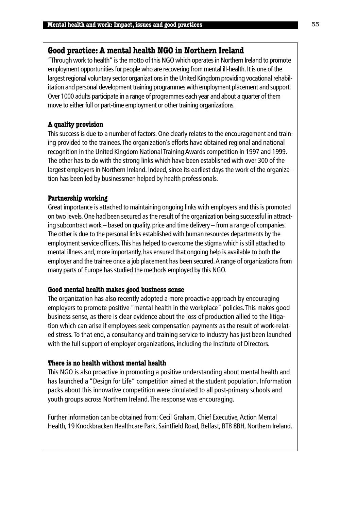## **Good practice: A mental health NGO in Northern Ireland**

"Through work to health" is the motto of this NGO which operates in Northern Ireland to promote employment opportunities for people who are recovering from mental ill-health. It is one of the largest regional voluntary sector organizations in the United Kingdom providing vocational rehabilitation and personal development training programmes with employment placement and support. Over 1000 adults participate in a range of programmes each year and about a quarter of them move to either full or part-time employment or other training organizations.

## **A quality provision**

This success is due to a number of factors. One clearly relates to the encouragement and training provided to the trainees.The organization's efforts have obtained regional and national recognition in the United Kingdom National Training Awards competition in 1997 and 1999. The other has to do with the strong links which have been established with over 300 of the largest employers in Northern Ireland. Indeed, since its earliest days the work of the organization has been led by businessmen helped by health professionals.

## **Partnership working**

Great importance is attached to maintaining ongoing links with employers and this is promoted on two levels. One had been secured as the result of the organization being successful in attracting subcontract work – based on quality, price and time delivery – from a range of companies. The other is due to the personal links established with human resources departments by the employment service officers.This has helped to overcome the stigma which is still attached to mental illness and, more importantly, has ensured that ongoing help is available to both the employer and the trainee once a job placement has been secured. A range of organizations from many parts of Europe has studied the methods employed by this NGO.

### **Good mental health makes good business sense**

The organization has also recently adopted a more proactive approach by encouraging employers to promote positive "mental health in the workplace" policies. This makes good business sense, as there is clear evidence about the loss of production allied to the litigation which can arise if employees seek compensation payments as the result of work-related stress. To that end, a consultancy and training service to industry has just been launched with the full support of employer organizations, including the Institute of Directors.

### **There is no health without mental health**

This NGO is also proactive in promoting a positive understanding about mental health and has launched a "Design for Life" competition aimed at the student population. Information packs about this innovative competition were circulated to all post-primary schools and youth groups across Northern Ireland. The response was encouraging.

Further information can be obtained from: Cecil Graham, Chief Executive, Action Mental Health, 19 Knockbracken Healthcare Park, Saintfield Road, Belfast, BT8 8BH, Northern Ireland.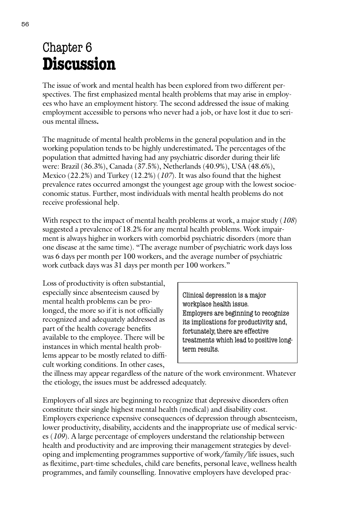# Chapter 6 **Discussion**

The issue of work and mental health has been explored from two different perspectives. The first emphasized mental health problems that may arise in employees who have an employment history. The second addressed the issue of making employment accessible to persons who never had a job, or have lost it due to serious mental illness**.**

The magnitude of mental health problems in the general population and in the working population tends to be highly underestimated**.** The percentages of the population that admitted having had any psychiatric disorder during their life were: Brazil (36.3%), Canada (37.5%), Netherlands (40.9%), USA (48.6%), Mexico (22.2%) and Turkey (12.2%) (*107*). It was also found that the highest prevalence rates occurred amongst the youngest age group with the lowest socioeconomic status. Further, most individuals with mental health problems do not receive professional help.

With respect to the impact of mental health problems at work, a major study (*108*) suggested a prevalence of 18.2% for any mental health problems. Work impairment is always higher in workers with comorbid psychiatric disorders (more than one disease at the same time). "The average number of psychiatric work days loss was 6 days per month per 100 workers, and the average number of psychiatric work cutback days was 31 days per month per 100 workers."

Loss of productivity is often substantial, especially since absenteeism caused by mental health problems can be prolonged, the more so if it is not officially recognized and adequately addressed as part of the health coverage benefits available to the employee. There will be instances in which mental health problems appear to be mostly related to difficult working conditions. In other cases,

Clinical depression is a major workplace health issue. Employers are beginning to recognize its implications for productivity and, fortunately, there are effective treatments which lead to positive longterm results.

the illness may appear regardless of the nature of the work environment. Whatever the etiology, the issues must be addressed adequately.

Employers of all sizes are beginning to recognize that depressive disorders often constitute their single highest mental health (medical) and disability cost. Employers experience expensive consequences of depression through absenteeism, lower productivity, disability, accidents and the inappropriate use of medical services (*109*). A large percentage of employers understand the relationship between health and productivity and are improving their management strategies by developing and implementing programmes supportive of work/family/life issues, such as flexitime, part-time schedules, child care benefits, personal leave, wellness health programmes, and family counselling. Innovative employers have developed prac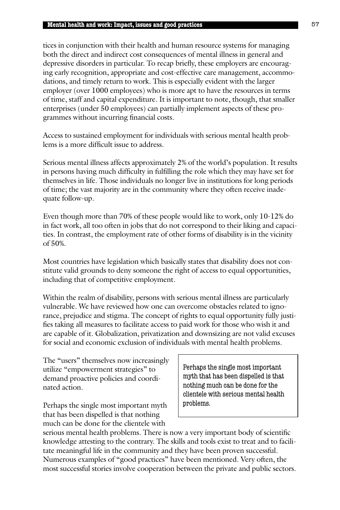tices in conjunction with their health and human resource systems for managing both the direct and indirect cost consequences of mental illness in general and depressive disorders in particular. To recap briefly, these employers are encouraging early recognition, appropriate and cost-effective care management, accommodations, and timely return to work. This is especially evident with the larger employer (over 1000 employees) who is more apt to have the resources in terms of time, staff and capital expenditure. It is important to note, though, that smaller enterprises (under 50 employees) can partially implement aspects of these programmes without incurring financial costs.

Access to sustained employment for individuals with serious mental health problems is a more difficult issue to address.

Serious mental illness affects approximately 2% of the world's population. It results in persons having much difficulty in fulfilling the role which they may have set for themselves in life. Those individuals no longer live in institutions for long periods of time; the vast majority are in the community where they often receive inadequate follow-up.

Even though more than 70% of these people would like to work, only 10-12% do in fact work, all too often in jobs that do not correspond to their liking and capacities. In contrast, the employment rate of other forms of disability is in the vicinity of 50%.

Most countries have legislation which basically states that disability does not constitute valid grounds to deny someone the right of access to equal opportunities, including that of competitive employment.

Within the realm of disability, persons with serious mental illness are particularly vulnerable. We have reviewed how one can overcome obstacles related to ignorance, prejudice and stigma. The concept of rights to equal opportunity fully justifies taking all measures to facilitate access to paid work for those who wish it and are capable of it. Globalization, privatization and downsizing are not valid excuses for social and economic exclusion of individuals with mental health problems.

The "users" themselves now increasingly utilize "empowerment strategies" to demand proactive policies and coordinated action.

Perhaps the single most important myth that has been dispelled is that nothing much can be done for the clientele with

Perhaps the single most important myth that has been dispelled is that nothing much can be done for the clientele with serious mental health problems.

serious mental health problems. There is now a very important body of scientific knowledge attesting to the contrary. The skills and tools exist to treat and to facilitate meaningful life in the community and they have been proven successful. Numerous examples of "good practices" have been mentioned. Very often, the most successful stories involve cooperation between the private and public sectors.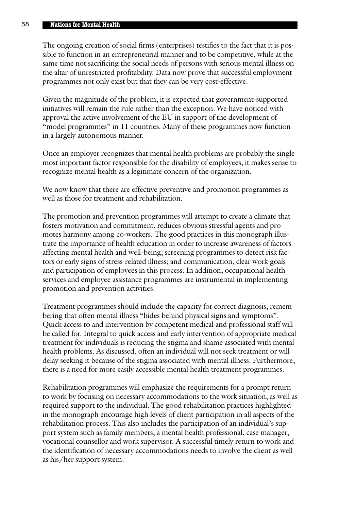The ongoing creation of social firms (enterprises) testifies to the fact that it is possible to function in an entrepreneurial manner and to be competitive, while at the same time not sacrificing the social needs of persons with serious mental illness on the altar of unrestricted profitability. Data now prove that successful employment programmes not only exist but that they can be very cost-effective.

Given the magnitude of the problem, it is expected that government-supported initiatives will remain the rule rather than the exception. We have noticed with approval the active involvement of the EU in support of the development of "model programmes" in 11 countries. Many of these programmes now function in a largely autonomous manner.

Once an employer recognizes that mental health problems are probably the single most important factor responsible for the disability of employees, it makes sense to recognize mental health as a legitimate concern of the organization.

We now know that there are effective preventive and promotion programmes as well as those for treatment and rehabilitation.

The promotion and prevention programmes will attempt to create a climate that fosters motivation and commitment, reduces obvious stressful agents and promotes harmony among co-workers. The good practices in this monograph illustrate the importance of health education in order to increase awareness of factors affecting mental health and well-being; screening programmes to detect risk factors or early signs of stress-related illness; and communication, clear work goals and participation of employees in this process. In addition, occupational health services and employee assistance programmes are instrumental in implementing promotion and prevention activities.

Treatment programmes should include the capacity for correct diagnosis, remembering that often mental illness "hides behind physical signs and symptoms". Quick access to and intervention by competent medical and professional staff will be called for. Integral to quick access and early intervention of appropriate medical treatment for individuals is reducing the stigma and shame associated with mental health problems. As discussed, often an individual will not seek treatment or will delay seeking it because of the stigma associated with mental illness. Furthermore, there is a need for more easily accessible mental health treatment programmes.

Rehabilitation programmes will emphasize the requirements for a prompt return to work by focusing on necessary accommodations to the work situation, as well as required support to the individual. The good rehabilitation practices highlighted in the monograph encourage high levels of client participation in all aspects of the rehabilitation process. This also includes the participation of an individual's support system such as family members, a mental health professional, case manager, vocational counsellor and work supervisor. A successful timely return to work and the identification of necessary accommodations needs to involve the client as well as his/her support system.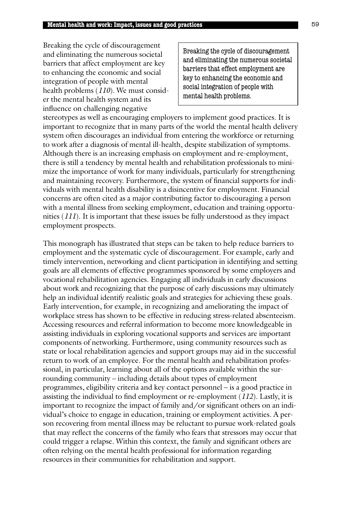Breaking the cycle of discouragement and eliminating the numerous societal barriers that affect employment are key to enhancing the economic and social integration of people with mental health problems (*110*). We must consider the mental health system and its influence on challenging negative

Breaking the cycle of discouragement and eliminating the numerous societal barriers that effect employment are key to enhancing the economic and social integration of people with mental health problems.

stereotypes as well as encouraging employers to implement good practices. It is important to recognize that in many parts of the world the mental health delivery system often discourages an individual from entering the workforce or returning to work after a diagnosis of mental ill-health, despite stabilization of symptoms. Although there is an increasing emphasis on employment and re-employment, there is still a tendency by mental health and rehabilitation professionals to minimize the importance of work for many individuals, particularly for strengthening and maintaining recovery. Furthermore, the system of financial supports for individuals with mental health disability is a disincentive for employment. Financial concerns are often cited as a major contributing factor to discouraging a person with a mental illness from seeking employment, education and training opportunities (*111*). It is important that these issues be fully understood as they impact employment prospects.

This monograph has illustrated that steps can be taken to help reduce barriers to employment and the systematic cycle of discouragement. For example, early and timely intervention, networking and client participation in identifying and setting goals are all elements of effective programmes sponsored by some employers and vocational rehabilitation agencies. Engaging all individuals in early discussions about work and recognizing that the purpose of early discussions may ultimately help an individual identify realistic goals and strategies for achieving these goals. Early intervention, for example, in recognizing and ameliorating the impact of workplace stress has shown to be effective in reducing stress-related absenteeism. Accessing resources and referral information to become more knowledgeable in assisting individuals in exploring vocational supports and services are important components of networking. Furthermore, using community resources such as state or local rehabilitation agencies and support groups may aid in the successful return to work of an employee. For the mental health and rehabilitation professional, in particular, learning about all of the options available within the surrounding community – including details about types of employment programmes, eligibility criteria and key contact personnel – is a good practice in assisting the individual to find employment or re-employment (*112*). Lastly, it is important to recognize the impact of family and/or significant others on an individual's choice to engage in education, training or employment activities. A person recovering from mental illness may be reluctant to pursue work-related goals that may reflect the concerns of the family who fears that stressors may occur that could trigger a relapse. Within this context, the family and significant others are often relying on the mental health professional for information regarding resources in their communities for rehabilitation and support.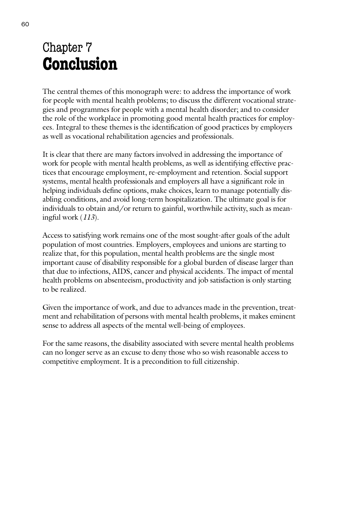# Chapter 7 **Conclusion**

The central themes of this monograph were: to address the importance of work for people with mental health problems; to discuss the different vocational strategies and programmes for people with a mental health disorder; and to consider the role of the workplace in promoting good mental health practices for employees. Integral to these themes is the identification of good practices by employers as well as vocational rehabilitation agencies and professionals.

It is clear that there are many factors involved in addressing the importance of work for people with mental health problems, as well as identifying effective practices that encourage employment, re-employment and retention. Social support systems, mental health professionals and employers all have a significant role in helping individuals define options, make choices, learn to manage potentially disabling conditions, and avoid long-term hospitalization. The ultimate goal is for individuals to obtain and/or return to gainful, worthwhile activity, such as meaningful work (*113*).

Access to satisfying work remains one of the most sought-after goals of the adult population of most countries. Employers, employees and unions are starting to realize that, for this population, mental health problems are the single most important cause of disability responsible for a global burden of disease larger than that due to infections, AIDS, cancer and physical accidents. The impact of mental health problems on absenteeism, productivity and job satisfaction is only starting to be realized.

Given the importance of work, and due to advances made in the prevention, treatment and rehabilitation of persons with mental health problems, it makes eminent sense to address all aspects of the mental well-being of employees.

For the same reasons, the disability associated with severe mental health problems can no longer serve as an excuse to deny those who so wish reasonable access to competitive employment. It is a precondition to full citizenship.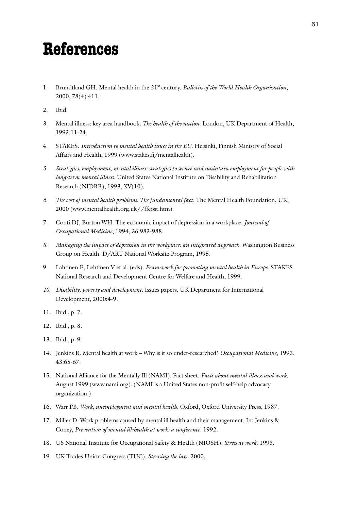# **References**

- 1. Brundtland GH. Mental health in the 21st century. *Bulletin of the World Health Organization*, 2000, 78(4):411.
- 2. Ibid.
- 3. Mental illness: key area handbook. *The health of the nation*. London, UK Department of Health, 1993:11-24.
- 4. STAKES. *Introduction to mental health issues in the EU*. Helsinki, Finnish Ministry of Social Affairs and Health, 1999 (www.stakes.fi/mentalhealth).
- *5. Strategies, employment, mental illness: strategies to secure and maintain employment for people with long-term mental illness*. United States National Institute on Disability and Rehabilitation Research (NIDRR), 1993, XV(10).
- *6. The cost of mental health problems. The fundamental fact*. The Mental Health Foundation, UK, 2000 (www.mentalhealth.org.uk//ffcost.htm).
- 7. Conti DJ, Burton WH. The economic impact of depression in a workplace. *Journal of Occupational Medicine*, 1994, 36:983-988.
- *8. Managing the impact of depression in the workplace: an integrated approach*. Washington Business Group on Health. D/ART National Worksite Program, 1995.
- 9. Lahtinen E, Lehtinen V et al. (eds). *Framework for promoting mental health in Europe*. STAKES National Research and Development Centre for Welfare and Health, 1999.
- *10. Disability, poverty and development*. Issues papers. UK Department for International Development, 2000**:**4-9.
- 11. Ibid., p. 7.
- 12. Ibid., p. 8.
- 13. Ibid., p. 9.
- 14. Jenkins R. Mental health at work Why is it so under-researched? *Occupational Medicine*, 1993, 43:65-67.
- 15. National Alliance for the Mentally Ill (NAMI). Fact sheet. *Facts about mental illness and work*. August 1999 (www.nami.org). (NAMI is a United States non-profit self-help advocacy organization.)
- 16. Warr PB. *Work, unemployment and mental health*. Oxford, Oxford University Press, 1987.
- 17. Miller D. Work problems caused by mental ill health and their management. In: Jenkins & Coney, *Prevention of mental ill-health at work: a conference*. 1992.
- 18. US National Institute for Occupational Safety & Health (NIOSH). *Stress at work*. 1998.
- 19. UK Trades Union Congress (TUC). *Stressing the law*. 2000.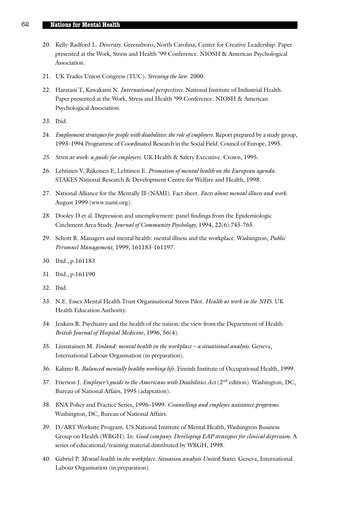- 20. Kelly-Radford L. *Diversity*. Greensboro, North Carolina, Center for Creative Leadership. Paper presented at the Work, Stress and Health '99 Conference. NIOSH & American Psychological Association.
- 21. UK Trades Union Congress (TUC). *Stressing the law*. 2000.
- 22. Haratani T, Kawakami N. *International perspectives*. National Institute of Industrial Health. Paper presented at the Work, Stress and Health '99 Conference. NIOSH & American Psychological Association.
- 23. Ibid.
- 24. *Employment strategies for people with disabilities: the role of employers*. Report prepared by a study group, 1993–1994 Programme of Coordinated Research in the Social Field. Council of Europe, 1995.
- *25. Stress at work: a guide for employers*. UK Health & Safety Executive. Crown, 1995.
- 26. Lehtinen V, Riikonen E, Lehtinen E. *Promotion of mental health on the European agenda*. STAKES National Research & Development Centre for Welfare and Health, 1998.
- 27. National Alliance for the Mentally Ill (NAMI). Fact sheet. *Facts about mental illness and work*. August 1999 (www.nami.org).
- 28. Dooley D et al. Depression and unemployment: panel findings from the Epidemiologic Catchment Area Study. *Journal of Community Psychology*, 1994, 22(6):745-765.
- 29. Schott R. Managers and mental health: mental illness and the workplace. Washington, *Public Personnel Management*, 1999, 161183-161197.
- 30. Ibid., p.161183
- 31. Ibid., p.161190
- 32. Ibid.
- 33. N.E. Essex Mental Health Trust Organisational Stress Pilot. *Health at work in the NHS*. UK Health Education Authority.
- 34. Jenkins R. Psychiatry and the health of the nation: the view from the Department of Health. *British Journal of Hospital Medicine*, 1996, 56(4).
- 35. Liimatainen M. *Finland: mental health in the workplace a situational analysis.* Geneva, International Labour Organisation (in preparation).
- 36. Kalimo R. *Balanced mentally healthy working life*. Finnish Institute of Occupational Health, 1999.
- 37. Frierson J. *Employer's guide to the Americans with Disabilities Act* (2nd edition). Washington, DC, Bureau of National Affairs, 1995 (adaptation).
- 38. BNA Policy and Practice Series, 1996–1999. *Counselling and employee assistance programs*. Washington, DC, Bureau of National Affairs.
- 39. D/ART Worksite Program. US National Institute of Mental Health, Washington Business Group on Health (WBGH). In: *Good company. Developing EAP strategies for clinical depression*. A series of educational/training material distributed by WBGH, 1998.
- 40. Gabriel P. *Mental health in the workplace. Situation analysis United States*. Geneva, International Labour Organisation (in preparation).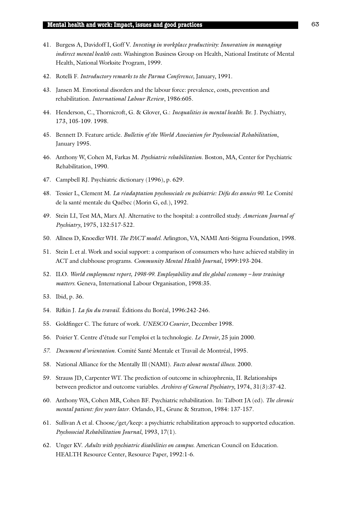- 41. Burgess A, Davidoff I, Goff V. *Investing in workplace productivity: Innovation in managing indirect mental health costs*. Washington Business Group on Health, National Institute of Mental Health, National Worksite Program, 1999.
- 42. Rotelli F. *Introductory remarks to the Parma Conference,* January, 1991.
- 43. Jansen M. Emotional disorders and the labour force: prevalence, costs, prevention and rehabilitation. *International Labour Review*, 1986:605.
- 44. Henderson, C., Thornicroft, G. & Glover, G.: *Inequalities in mental health*. Br. J. Psychiatry, 173, 105-109. 1998.
- 45. Bennett D. Feature article. *Bulletin of the World Association for Psychosocial Rehabilitation*, January 1995.
- 46. Anthony W, Cohen M, Farkas M. *Psychiatric rehabilitation*. Boston, MA, Center for Psychiatric Rehabilitation, 1990.
- 47. Campbell RJ. Psychiatric dictionary (1996), p. 629.
- 48. Tessier L, Clement M. *La réadaptation psychosociale en pschiatrie: Défis des années 90*. Le Comité de la santé mentale du Québec (Morin G, ed.), 1992.
- 49. Stein LI, Test MA, Marx AJ. Alternative to the hospital: a controlled study. *American Journal of Psychiatry*, 1975, 132:517-522.
- 50. Allness D, Knoedler WH. *The PACT model*. Arlington, VA, NAMI Anti-Stigma Foundation, 1998.
- 51. Stein L et al. Work and social support: a comparison of consumers who have achieved stability in ACT and clubhouse programs. *Community Mental Health Journal*, 1999:193-204.
- 52. ILO. *World employment report, 1998-99. Employability and the global economy how training matters*. Geneva, International Labour Organisation, 1998:35.
- 53. Ibid, p. 36.
- 54. Rifkin J. *La fin du travail*. Éditions du Boréal, 1996:242-246.
- 55. Goldfinger C. The future of work. *UNESCO Courier*, December 1998.
- 56. Poirier Y. Centre d'étude sur l'emploi et la technologie. *Le Devoir*, 25 juin 2000.
- *57. Document d'orientation*. Comité Santé Mentale et Travail de Montréal, 1995.
- 58. National Alliance for the Mentally Ill (NAMI). *Facts about mental illness*. 2000.
- 59. Strauss JD, Carpenter WT. The prediction of outcome in schizophrenia, II. Relationships between predictor and outcome variables. *Archives of General Psychiatry*, 1974, 31(3):37-42.
- 60. Anthony WA, Cohen MR, Cohen BF. Psychiatric rehabilitation. In: Talbott JA (ed). *The chronic mental patient: five years later*. Orlando, FL, Grune & Stratton, 1984: 137-157.
- 61. Sullivan A et al. Choose/get/keep: a psychiatric rehabilitation approach to supported education. *Psychosocial Rehabilitation Journal*, 1993, 17(1).
- 62. Unger KV. *Adults with psychiatric disabilities on campus*. American Council on Education. HEALTH Resource Center, Resource Paper, 1992:1-6.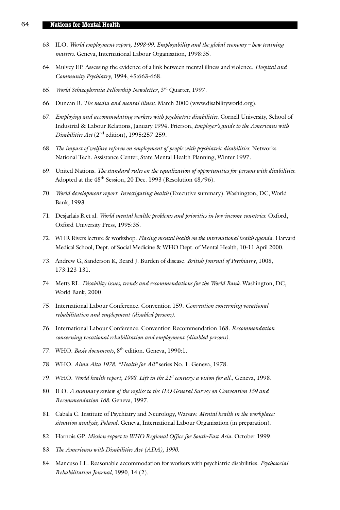- 63. ILO. *World employment report, 1998-99. Employability and the global economy how training matters*. Geneva, International Labour Organisation, 1998:35.
- 64. Mulvey EP. Assessing the evidence of a link between mental illness and violence. *Hospital and Community Psychiatry*, 1994, 45:663-668.
- 65. *World Schizophrenia Fellowship Newsletter*, 3rd Quarter, 1997.
- 66. Duncan B. *The media and mental illness*. March 2000 (www.disabilityworld.org).
- 67. *Employing and accommodating workers with psychiatric disabilities*. Cornell University, School of Industrial & Labour Relations, January 1994. Frierson, *Employer's guide to the Americans with Disabilities Act* (2nd edition), 1995:257-259.
- 68. *The impact of welfare reform on employment of people with psychiatric disabilities*. Networks National Tech. Assistance Center, State Mental Health Planning, Winter 1997.
- 69. United Nations. *The standard rules on the equalization of opportunities for persons with disabilities*. Adopted at the 48<sup>th</sup> Session, 20 Dec. 1993 (Resolution 48/96).
- 70. *World development report. Investigating health* (Executive summary). Washington, DC, World Bank, 1993.
- 71. Desjarlais R et al. *World mental health: problems and priorities in low-income countries*. Oxford, Oxford University Press, 1995:35.
- 72. WHR Rivers lecture & workshop. *Placing mental health on the international health agenda*. Harvard Medical School, Dept. of Social Medicine & WHO Dept. of Mental Health, 10-11 April 2000.
- 73. Andrew G, Sanderson K, Beard J. Burden of disease. *British Journal of Psychiatry*, 1008, 173:123-131.
- 74. Metts RL. *Disability issues, trends and recommendations for the World Bank*. Washington, DC, World Bank, 2000.
- 75. International Labour Conference. Convention 159. *Convention concerning vocational rehabilitation and employment (disabled persons)*.
- 76. International Labour Conference. Convention Recommendation 168. *Recommendation concerning vocational rehabilitation and employment (disabled persons)*.
- 77. WHO. *Basic documents*, 8th edition. Geneva, 1990:1.
- 78. WHO. *Alma Alta 1978*. *"Health for All"* series No. 1. Geneva, 1978.
- 79. WHO. World health report, 1998. Life in the 21<sup>st</sup> century: a vision for all., Geneva, 1998.
- 80. ILO. *A summary review of the replies to the ILO General Survey on Convention 159 and Recommendation 168*. Geneva, 1997.
- 81. Cabala C. Institute of Psychiatry and Neurology, Warsaw. *Mental health in the workplace: situation analysis, Poland*. Geneva, International Labour Organisation (in preparation).
- 82. Harnois GP. *Mission report to WHO Regional Office for South-East Asia*. October 1999.
- 83. *The Americans with Disabilities Act (ADA), 1990*.
- 84. Mancuso LL. Reasonable accommodation for workers with psychiatric disabilities. *Psychosocial Rehabilitation Journal*, 1990, 14 (2).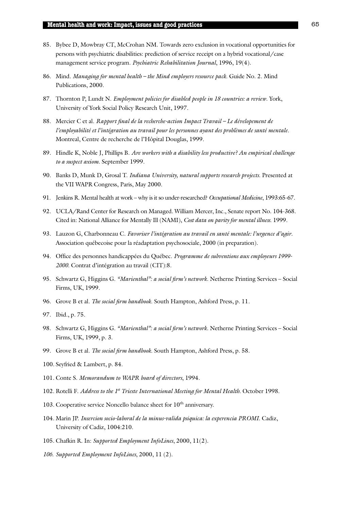- 85. Bybee D, Mowbray CT, McCrohan NM. Towards zero exclusion in vocational opportunities for persons with psychiatric disabilities: prediction of service receipt on a hybrid vocational/case management service program. *Psychiatric Rehabilitation Journal*, 1996, 19(4).
- 86. Mind. *Managing for mental health the Mind employers resource pack*. Guide No. 2. Mind Publications, 2000.
- 87. Thornton P, Lundt N. *Employment policies for disabled people in 18 countries: a review*. York, University of York Social Policy Research Unit, 1997.
- 88. Mercier C et al. *Rapport final de la recherche-action Impact Travail Le dévelopement de l'employabilité et l'intégration au travail pour les personnes ayant des problèmes de santé mentale*. Montreal, Centre de recherche de l'Hôpital Douglas, 1999.
- 89. Hindle K, Noble J, Phillips B. *Are workers with a disability less productive? An empirical challenge to a suspect axiom*. September 1999.
- 90. Banks D, Munk D, Grosal T. *Indiana University, natural supports research projects*. Presented at the VII WAPR Congress, Paris, May 2000.
- 91. Jenkins R. Mental health at work why is it so under-researched? *Occupational Medicine*, 1993:65-67.
- 92. UCLA/Rand Center for Research on Managed. William Mercer, Inc., Senate report No. 104-368. Cited in: National Alliance for Mentally Ill (NAMI), *Cost data on parity for mental illness*. 1999.
- 93. Lauzon G, Charbonneau C. *Favoriser l'intégration au travail en santé mentale: l'urgence d'agir*. Association québecoise pour la réadaptation psychosociale, 2000 (in preparation).
- 94. Office des personnes handicappées du Québec. *Programme de subventions aux employeurs 1999- 2000*. Contrat d'intégration au travail (CIT):8.
- 95. Schwartz G, Higgins G. *"Marienthal": a social firm's network*. Netherne Printing Services Social Firms, UK, 1999.
- 96. Grove B et al. *The social firm handbook*. South Hampton, Ashford Press, p. 11.
- 97. Ibid., p. 75.
- 98. Schwartz G, Higgins G. *"Marienthal": a social firm's network*. Netherne Printing Services Social Firms, UK, 1999, p. 3.
- 99. Grove B et al. *The social firm handbook*. South Hampton, Ashford Press, p. 58.
- 100. Seyfried & Lambert, p. 84.
- 101. Conte S. *Memorandum to WAPR board of directors*, 1994.
- 102. Rotelli F. *Address to the 1st Trieste International Meeting for Mental Health*. October 1998.
- 103. Cooperative service Noncello balance sheet for  $10^{th}$  anniversary.
- 104. Marin JP. *Insercion socio-laboral de la minus-valida psiquica: la experencia PROMI*. Cadiz, University of Cadiz, 1004:210.
- 105. Chafkin R. In: *Supported Employment InfoLines*, 2000, 11(2).
- *106. Supported Employment InfoLines*, 2000, 11 (2).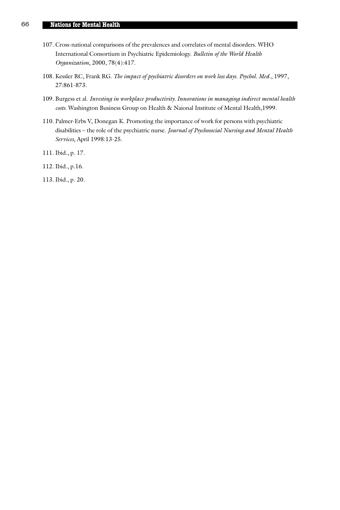- 107. Cross-national comparisons of the prevalences and correlates of mental disorders. WHO International Consortium in Psychiatric Epidemiology. *Bulletin of the World Health Organization*, 2000, 78(4):417.
- 108. Kessler RC, Frank RG. *The impact of psychiatric disorders on work loss days*. *Psychol. Med*., 1997, 27:861-873.
- 109. Burgess et al. *Investing in workplace productivity. Innovations in managing indirect mental health costs*. Washington Business Group on Health & Naional Institute of Mental Health,1999.
- 110. Palmer-Erbs V, Donegan K. Promoting the importance of work for persons with psychiatric disabilities – the role of the psychiatric nurse. *Journal of Psychosocial Nursing and Mental Health Services*, April 1998:13-25.
- 111. Ibid., p. 17.
- 112. Ibid., p.16.
- 113. Ibid., p. 20.